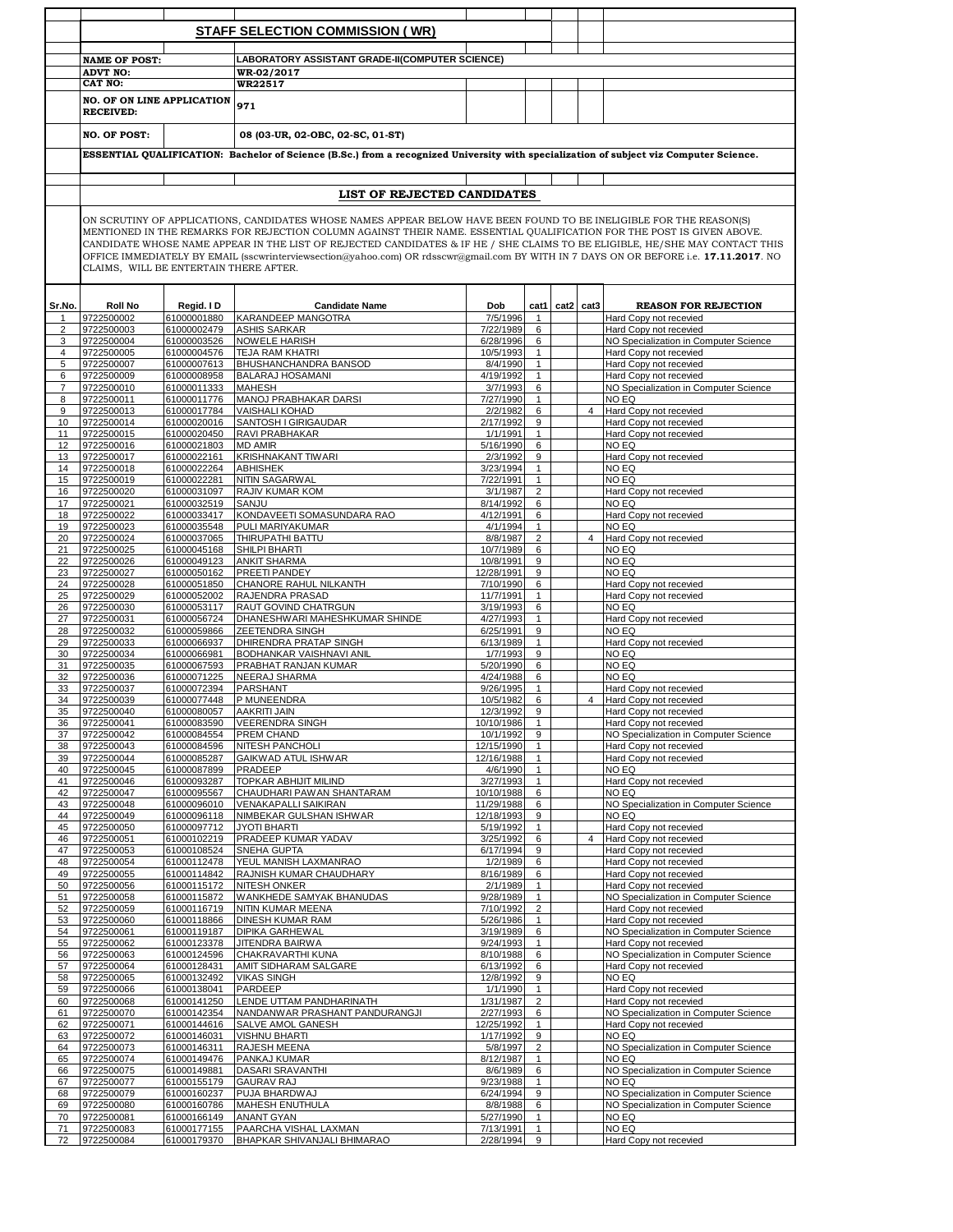|                |                                        |                            | <b>STAFF SELECTION COMMISSION (WR)</b>                                                                                                                                                                                                                                                                                                                                                                                                                                                                                |                          |                              |           |                |                                                                 |
|----------------|----------------------------------------|----------------------------|-----------------------------------------------------------------------------------------------------------------------------------------------------------------------------------------------------------------------------------------------------------------------------------------------------------------------------------------------------------------------------------------------------------------------------------------------------------------------------------------------------------------------|--------------------------|------------------------------|-----------|----------------|-----------------------------------------------------------------|
|                |                                        |                            |                                                                                                                                                                                                                                                                                                                                                                                                                                                                                                                       |                          |                              |           |                |                                                                 |
|                | <b>NAME OF POST:</b>                   |                            | LABORATORY ASSISTANT GRADE-II(COMPUTER SCIENCE)                                                                                                                                                                                                                                                                                                                                                                                                                                                                       |                          |                              |           |                |                                                                 |
|                | <b>ADVT NO:</b>                        |                            | WR-02/2017                                                                                                                                                                                                                                                                                                                                                                                                                                                                                                            |                          |                              |           |                |                                                                 |
|                | <b>CAT NO:</b>                         |                            | WR22517                                                                                                                                                                                                                                                                                                                                                                                                                                                                                                               |                          |                              |           |                |                                                                 |
|                | <b>NO. OF ON LINE APPLICATION</b>      |                            | 971                                                                                                                                                                                                                                                                                                                                                                                                                                                                                                                   |                          |                              |           |                |                                                                 |
|                | <b>RECEIVED:</b>                       |                            |                                                                                                                                                                                                                                                                                                                                                                                                                                                                                                                       |                          |                              |           |                |                                                                 |
|                | <b>NO. OF POST:</b>                    |                            | 08 (03-UR, 02-OBC, 02-SC, 01-ST)                                                                                                                                                                                                                                                                                                                                                                                                                                                                                      |                          |                              |           |                |                                                                 |
|                |                                        |                            | ESSENTIAL QUALIFICATION: Bachelor of Science (B.Sc.) from a recognized University with specialization of subject viz Computer Science.                                                                                                                                                                                                                                                                                                                                                                                |                          |                              |           |                |                                                                 |
|                |                                        |                            |                                                                                                                                                                                                                                                                                                                                                                                                                                                                                                                       |                          |                              |           |                |                                                                 |
|                |                                        |                            | LIST OF REJECTED CANDIDATES                                                                                                                                                                                                                                                                                                                                                                                                                                                                                           |                          |                              |           |                |                                                                 |
|                |                                        |                            |                                                                                                                                                                                                                                                                                                                                                                                                                                                                                                                       |                          |                              |           |                |                                                                 |
|                | CLAIMS, WILL BE ENTERTAIN THERE AFTER. |                            | ON SCRUTINY OF APPLICATIONS, CANDIDATES WHOSE NAMES APPEAR BELOW HAVE BEEN FOUND TO BE INELIGIBLE FOR THE REASON(S)<br>MENTIONED IN THE REMARKS FOR REJECTION COLUMN AGAINST THEIR NAME. ESSENTIAL QUALIFICATION FOR THE POST IS GIVEN ABOVE.<br>CANDIDATE WHOSE NAME APPEAR IN THE LIST OF REJECTED CANDIDATES & IF HE / SHE CLAIMS TO BE ELIGIBLE, HE/SHE MAY CONTACT THIS<br>OFFICE IMMEDIATELY BY EMAIL (sscwrinterviewsection@yahoo.com) OR rdsscwr@gmail.com BY WITH IN 7 DAYS ON OR BEFORE i.e. 17.11.2017. NO |                          |                              |           |                |                                                                 |
|                |                                        |                            |                                                                                                                                                                                                                                                                                                                                                                                                                                                                                                                       |                          |                              |           |                |                                                                 |
| Sr.No.         | <b>Roll No</b>                         | Regid. I D                 | <b>Candidate Name</b>                                                                                                                                                                                                                                                                                                                                                                                                                                                                                                 | Dob                      | cat1                         | cat2 cat3 |                | <b>REASON FOR REJECTION</b>                                     |
| 1              | 9722500002                             | 61000001880                | KARANDEEP MANGOTRA                                                                                                                                                                                                                                                                                                                                                                                                                                                                                                    | $\frac{1}{7}{/}5/1996$   | $\mathbf{1}$                 |           |                | Hard Copy not recevied                                          |
| $\overline{2}$ | 9722500003                             | 61000002479<br>61000003526 | <b>ASHIS SARKAR</b>                                                                                                                                                                                                                                                                                                                                                                                                                                                                                                   | 7/22/1989                | 6                            |           |                | Hard Copy not recevied                                          |
| 3<br>4         | 9722500004<br>9722500005               | 61000004576                | NOWELE HARISH<br><b>TEJA RAM KHATRI</b>                                                                                                                                                                                                                                                                                                                                                                                                                                                                               | 6/28/1996<br>10/5/1993   | 6<br>$\mathbf{1}$            |           |                | NO Specialization in Computer Science<br>Hard Copy not recevied |
| 5              | 9722500007                             | 61000007613                | BHUSHANCHANDRA BANSOD                                                                                                                                                                                                                                                                                                                                                                                                                                                                                                 | 8/4/1990                 | $\mathbf{1}$                 |           |                | Hard Copy not recevied                                          |
| 6              | 9722500009                             | 61000008958                | <b>BALARAJ HOSAMANI</b>                                                                                                                                                                                                                                                                                                                                                                                                                                                                                               | 4/19/1992                | $\mathbf{1}$                 |           |                | Hard Copy not recevied                                          |
| 7              | 9722500010                             | 61000011333                | <b>MAHESH</b>                                                                                                                                                                                                                                                                                                                                                                                                                                                                                                         | 3/7/1993                 | 6                            |           |                | NO Specialization in Computer Science                           |
| 8              | 9722500011                             | 61000011776                | MANOJ PRABHAKAR DARSI                                                                                                                                                                                                                                                                                                                                                                                                                                                                                                 | 7/27/1990                | $\mathbf{1}$                 |           |                | NO EQ                                                           |
| 9              | 9722500013                             | 61000017784                | <b>VAISHALI KOHAD</b>                                                                                                                                                                                                                                                                                                                                                                                                                                                                                                 | 2/2/1982                 | 6                            |           | $\overline{4}$ | Hard Copy not recevied                                          |
| 10             | 9722500014                             | 61000020016                | SANTOSH I GIRIGAUDAR                                                                                                                                                                                                                                                                                                                                                                                                                                                                                                  | 2/17/1992                | 9                            |           |                | Hard Copy not recevied                                          |
| 11             | 9722500015                             | 61000020450                | RAVI PRABHAKAR                                                                                                                                                                                                                                                                                                                                                                                                                                                                                                        | 1/1/1991                 | $\mathbf{1}$                 |           |                | Hard Copy not recevied                                          |
| 12             | 9722500016                             | 61000021803                | <b>MD AMIR</b><br><b>KRISHNAKANT TIWARI</b>                                                                                                                                                                                                                                                                                                                                                                                                                                                                           | 5/16/1990                | 6<br>9                       |           |                | NO EQ                                                           |
| 13<br>14       | 9722500017<br>9722500018               | 61000022161<br>61000022264 | <b>ABHISHEK</b>                                                                                                                                                                                                                                                                                                                                                                                                                                                                                                       | 2/3/1992<br>3/23/1994    | $\mathbf{1}$                 |           |                | Hard Copy not recevied<br>NO EQ                                 |
| 15             | 9722500019                             | 61000022281                | NITIN SAGARWAL                                                                                                                                                                                                                                                                                                                                                                                                                                                                                                        | 7/22/1991                | $\mathbf{1}$                 |           |                | NO EQ                                                           |
| 16             | 9722500020                             | 61000031097                | RAJIV KUMAR KOM                                                                                                                                                                                                                                                                                                                                                                                                                                                                                                       | 3/1/1987                 | $\overline{2}$               |           |                | Hard Copy not recevied                                          |
| 17             | 9722500021                             | 61000032519                | SANJU                                                                                                                                                                                                                                                                                                                                                                                                                                                                                                                 | 8/14/1992                | 6                            |           |                | NO EQ                                                           |
| 18             | 9722500022                             | 61000033417                | KONDAVEETI SOMASUNDARA RAO                                                                                                                                                                                                                                                                                                                                                                                                                                                                                            | 4/12/1991                | 6                            |           |                | Hard Copy not recevied                                          |
| 19             | 9722500023                             | 61000035548                | PULI MARIYAKUMAR                                                                                                                                                                                                                                                                                                                                                                                                                                                                                                      | 4/1/1994                 | $\mathbf{1}$                 |           |                | NO EQ                                                           |
| 20             | 9722500024                             | 61000037065                | THIRUPATHI BATTU                                                                                                                                                                                                                                                                                                                                                                                                                                                                                                      | 8/8/1987                 | $\overline{2}$               |           | $\overline{4}$ | Hard Copy not recevied                                          |
| 21             | 9722500025                             | 61000045168                | SHILPI BHARTI                                                                                                                                                                                                                                                                                                                                                                                                                                                                                                         | 10/7/1989                | 6                            |           |                | NO EQ                                                           |
| 22<br>23       | 9722500026<br>9722500027               | 61000049123<br>61000050162 | <b>ANKIT SHARMA</b><br>PREETI PANDEY                                                                                                                                                                                                                                                                                                                                                                                                                                                                                  | 10/8/1991<br>12/28/1991  | 9<br>9                       |           |                | NO EQ<br>NO EQ                                                  |
| 24             | 9722500028                             | 61000051850                | CHANORE RAHUL NILKANTH                                                                                                                                                                                                                                                                                                                                                                                                                                                                                                | 7/10/1990                | 6                            |           |                | Hard Copy not recevied                                          |
| 25             | 9722500029                             | 61000052002                | RAJENDRA PRASAD                                                                                                                                                                                                                                                                                                                                                                                                                                                                                                       | 11/7/1991                | $\mathbf{1}$                 |           |                | Hard Copy not recevied                                          |
| 26             | 9722500030                             | 61000053117                | RAUT GOVIND CHATRGUN                                                                                                                                                                                                                                                                                                                                                                                                                                                                                                  | 3/19/1993                | 6                            |           |                | NO EQ                                                           |
| 27             | 9722500031                             | 61000056724                | DHANESHWARI MAHESHKUMAR SHINDE                                                                                                                                                                                                                                                                                                                                                                                                                                                                                        | 4/27/1993                | $\mathbf{1}$                 |           |                | Hard Copy not recevied                                          |
| 28             | 9722500032                             | 61000059866                | <b>ZEETENDRA SINGH</b>                                                                                                                                                                                                                                                                                                                                                                                                                                                                                                | 6/25/1991                | 9                            |           |                | NO EQ                                                           |
| 29             | 9722500033                             | 61000066937                | DHIRENDRA PRATAP SINGH                                                                                                                                                                                                                                                                                                                                                                                                                                                                                                | 6/13/1989                | $\mathbf{1}$                 |           |                | Hard Copy not recevied                                          |
| 30<br>31       | 9722500034<br>9722500035               | 61000066981<br>61000067593 | BODHANKAR VAISHNAVI ANIL<br>PRABHAT RANJAN KUMAR                                                                                                                                                                                                                                                                                                                                                                                                                                                                      | 1/7/1993<br>5/20/1990    | 9<br>6                       |           |                | NO EQ<br>NO EQ                                                  |
| 32             | 9722500036                             | 61000071225                | <b>NEERAJ SHARMA</b>                                                                                                                                                                                                                                                                                                                                                                                                                                                                                                  | 4/24/1988                | 6                            |           |                | NO EQ                                                           |
| 33             | 9722500037                             | 61000072394                | <b>PARSHANT</b>                                                                                                                                                                                                                                                                                                                                                                                                                                                                                                       | 9/26/1995                | $\mathbf{1}$                 |           |                | Hard Copy not recevied                                          |
| 34             | 9722500039                             | 61000077448                | P MUNEENDRA                                                                                                                                                                                                                                                                                                                                                                                                                                                                                                           | 10/5/1982                | 6                            |           | $\overline{4}$ | Hard Copy not recevied                                          |
| 35             | 9722500040                             | 61000080057                | AAKRITI JAIN                                                                                                                                                                                                                                                                                                                                                                                                                                                                                                          | 12/3/1992                | 9                            |           |                | Hard Copy not recevied                                          |
| 36             | 9722500041                             | 61000083590                | <b>VEERENDRA SINGH</b>                                                                                                                                                                                                                                                                                                                                                                                                                                                                                                | 10/10/1986               | $\mathbf{1}$                 |           |                | Hard Copy not recevied                                          |
| 37             | 9722500042                             | 61000084554                | PREM CHAND                                                                                                                                                                                                                                                                                                                                                                                                                                                                                                            | 10/1/1992                | 9                            |           |                | NO Specialization in Computer Science                           |
| 38<br>39       | 9722500043<br>9722500044               | 61000084596<br>61000085287 | <b>NITESH PANCHOLI</b><br>GAIKWAD ATUL ISHWAR                                                                                                                                                                                                                                                                                                                                                                                                                                                                         | 12/15/1990<br>12/16/1988 | $\mathbf{1}$<br>$\mathbf{1}$ |           |                | Hard Copy not recevied<br>Hard Copy not recevied                |
| 40             | 9722500045                             | 61000087899                | PRADEEP                                                                                                                                                                                                                                                                                                                                                                                                                                                                                                               | 4/6/1990                 | $\mathbf{1}$                 |           |                | NO EQ                                                           |
| 41             | 9722500046                             | 61000093287                | TOPKAR ABHIJIT MILIND                                                                                                                                                                                                                                                                                                                                                                                                                                                                                                 | 3/27/1993                | $\mathbf{1}$                 |           |                | Hard Copy not recevied                                          |
| 42             | 9722500047                             | 61000095567                | CHAUDHARI PAWAN SHANTARAM                                                                                                                                                                                                                                                                                                                                                                                                                                                                                             | 10/10/1988               | 6                            |           |                | NO EQ                                                           |
| 43             | 9722500048                             | 61000096010                | <b>VENAKAPALLI SAIKIRAN</b>                                                                                                                                                                                                                                                                                                                                                                                                                                                                                           | 11/29/1988               | 6                            |           |                | NO Specialization in Computer Science                           |
| 44             | 9722500049                             | 61000096118                | NIMBEKAR GULSHAN ISHWAR                                                                                                                                                                                                                                                                                                                                                                                                                                                                                               | 12/18/1993               | 9                            |           |                | NO EQ                                                           |
| 45             | 9722500050                             | 61000097712                | JYOTI BHARTI                                                                                                                                                                                                                                                                                                                                                                                                                                                                                                          | 5/19/1992                | $\mathbf{1}$                 |           |                | Hard Copy not recevied                                          |
| 46<br>47       | 9722500051<br>9722500053               | 61000102219<br>61000108524 | PRADEEP KUMAR YADAV<br>SNEHA GUPTA                                                                                                                                                                                                                                                                                                                                                                                                                                                                                    | 3/25/1992<br>6/17/1994   | 6<br>9                       |           | $\overline{4}$ | Hard Copy not recevied<br>Hard Copy not recevied                |
| 48             | 9722500054                             | 61000112478                | YEUL MANISH LAXMANRAO                                                                                                                                                                                                                                                                                                                                                                                                                                                                                                 | 1/2/1989                 | 6                            |           |                | Hard Copy not recevied                                          |
| 49             | 9722500055                             | 61000114842                | RAJNISH KUMAR CHAUDHARY                                                                                                                                                                                                                                                                                                                                                                                                                                                                                               | 8/16/1989                | 6                            |           |                | Hard Copy not recevied                                          |
| 50             | 9722500056                             | 61000115172                | <b>NITESH ONKER</b>                                                                                                                                                                                                                                                                                                                                                                                                                                                                                                   | 2/1/1989                 | $\mathbf{1}$                 |           |                | Hard Copy not recevied                                          |
| 51             | 9722500058                             | 61000115872                | WANKHEDE SAMYAK BHANUDAS                                                                                                                                                                                                                                                                                                                                                                                                                                                                                              | 9/28/1989                | $\mathbf{1}$                 |           |                | NO Specialization in Computer Science                           |
| 52             | 9722500059                             | 61000116719                | NITIN KUMAR MEENA                                                                                                                                                                                                                                                                                                                                                                                                                                                                                                     | 7/10/1992                | $\overline{2}$               |           |                | Hard Copy not recevied                                          |
| 53<br>54       | 9722500060<br>9722500061               | 61000118866<br>61000119187 | DINESH KUMAR RAM<br><b>DIPIKA GARHEWAL</b>                                                                                                                                                                                                                                                                                                                                                                                                                                                                            | 5/26/1986<br>3/19/1989   | $\mathbf{1}$<br>6            |           |                | Hard Copy not recevied<br>NO Specialization in Computer Science |
| 55             | 9722500062                             | 61000123378                | JITENDRA BAIRWA                                                                                                                                                                                                                                                                                                                                                                                                                                                                                                       | 9/24/1993                | $\mathbf{1}$                 |           |                | Hard Copy not recevied                                          |
| 56             | 9722500063                             | 61000124596                | CHAKRAVARTHI KUNA                                                                                                                                                                                                                                                                                                                                                                                                                                                                                                     | 8/10/1988                | 6                            |           |                | NO Specialization in Computer Science                           |
| 57             | 9722500064                             | 61000128431                | AMIT SIDHARAM SALGARE                                                                                                                                                                                                                                                                                                                                                                                                                                                                                                 | 6/13/1992                | 6                            |           |                | Hard Copy not recevied                                          |
| 58             | 9722500065                             | 61000132492                | <b>VIKAS SINGH</b>                                                                                                                                                                                                                                                                                                                                                                                                                                                                                                    | 12/8/1992                | 9                            |           |                | NO EQ                                                           |
| 59             | 9722500066                             | 61000138041                | PARDEEP                                                                                                                                                                                                                                                                                                                                                                                                                                                                                                               | 1/1/1990                 | $\mathbf{1}$                 |           |                | Hard Copy not recevied                                          |
| 60             | 9722500068                             | 61000141250                | LENDE UTTAM PANDHARINATH                                                                                                                                                                                                                                                                                                                                                                                                                                                                                              | 1/31/1987                | $\overline{2}$               |           |                | Hard Copy not recevied                                          |
| 61             | 9722500070                             | 61000142354                | NANDANWAR PRASHANT PANDURANGJI                                                                                                                                                                                                                                                                                                                                                                                                                                                                                        | 2/27/1993                | 6                            |           |                | NO Specialization in Computer Science                           |
| 62<br>63       | 9722500071<br>9722500072               | 61000144616<br>61000146031 | SALVE AMOL GANESH<br><b>VISHNU BHARTI</b>                                                                                                                                                                                                                                                                                                                                                                                                                                                                             | 12/25/1992<br>1/17/1992  | $\mathbf{1}$<br>9            |           |                | Hard Copy not recevied<br>NO EQ                                 |
| 64             | 9722500073                             | 61000146311                | <b>RAJESH MEENA</b>                                                                                                                                                                                                                                                                                                                                                                                                                                                                                                   | 5/8/1997                 | $\overline{2}$               |           |                | NO Specialization in Computer Science                           |
| 65             | 9722500074                             | 61000149476                | PANKAJ KUMAR                                                                                                                                                                                                                                                                                                                                                                                                                                                                                                          | 8/12/1987                | $\mathbf{1}$                 |           |                | NO EQ                                                           |
| 66             | 9722500075                             | 61000149881                | DASARI SRAVANTHI                                                                                                                                                                                                                                                                                                                                                                                                                                                                                                      | 8/6/1989                 | 6                            |           |                | NO Specialization in Computer Science                           |
| 67             | 9722500077                             | 61000155179                | <b>GAURAV RAJ</b>                                                                                                                                                                                                                                                                                                                                                                                                                                                                                                     | 9/23/1988                | $\mathbf{1}$                 |           |                | NO EQ                                                           |
| 68             | 9722500079                             | 61000160237                | PUJA BHARDWAJ                                                                                                                                                                                                                                                                                                                                                                                                                                                                                                         | 6/24/1994                | 9                            |           |                | NO Specialization in Computer Science                           |
| 69             | 9722500080                             | 61000160786                | <b>MAHESH ENUTHULA</b>                                                                                                                                                                                                                                                                                                                                                                                                                                                                                                | 8/8/1988                 | 6                            |           |                | NO Specialization in Computer Science                           |
| 70             | 9722500081                             | 61000166149                | <b>ANANT GYAN</b>                                                                                                                                                                                                                                                                                                                                                                                                                                                                                                     | 5/27/1990                | $\mathbf{1}$                 |           |                | NO EQ                                                           |
| 71             | 9722500083                             | 61000177155                | PAARCHA VISHAL LAXMAN                                                                                                                                                                                                                                                                                                                                                                                                                                                                                                 | 7/13/1991                | $\mathbf{1}$                 |           |                | NO EQ                                                           |
| 72             | 9722500084                             | 61000179370                | BHAPKAR SHIVANJALI BHIMARAO                                                                                                                                                                                                                                                                                                                                                                                                                                                                                           | 2/28/1994                | 9                            |           |                | Hard Copy not recevied                                          |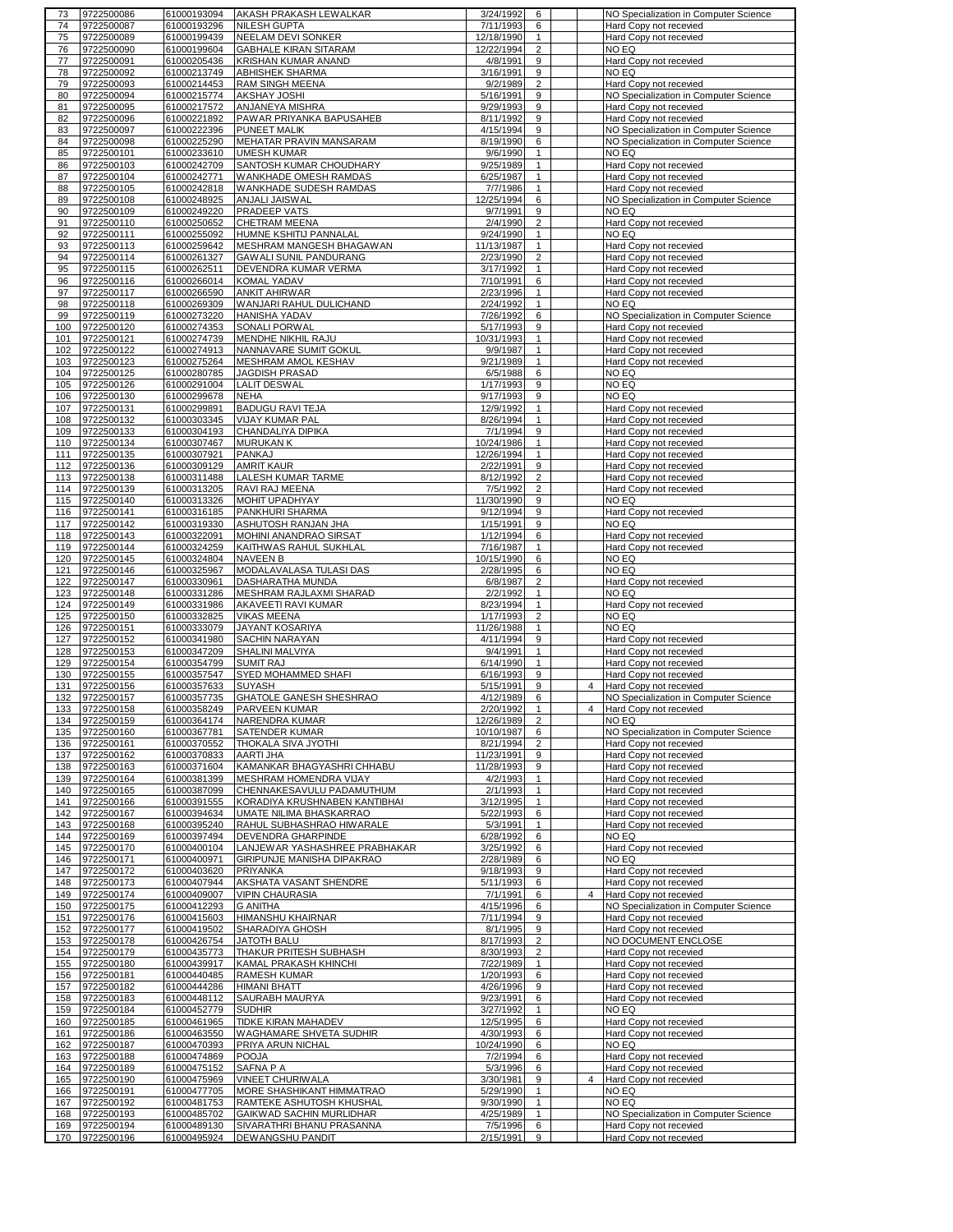| 73         | 9722500086               | 61000193094                | <b>AKASH PRAKASH LEWALKAR</b>                 | 3/24/1992                  | 6                        | NO Specialization in Computer Science            |
|------------|--------------------------|----------------------------|-----------------------------------------------|----------------------------|--------------------------|--------------------------------------------------|
| 74         | 9722500087               | 61000193296                | <b>NILESH GUPTA</b>                           | 7/11/1993                  | 6                        | Hard Copy not recevied                           |
| 75         | 9722500089               | 61000199439                | NEELAM DEVI SONKER                            | 12/18/1990<br>$\mathbf{1}$ |                          | Hard Copy not recevied                           |
| 76         | 9722500090               | 61000199604                | <b>GABHALE KIRAN SITARAM</b>                  | 12/22/1994                 | $\overline{2}$           | NO EQ                                            |
| 77         | 9722500091               | 61000205436                | KRISHAN KUMAR ANAND                           | 4/8/1991                   | 9                        | Hard Copy not recevied                           |
|            |                          |                            |                                               |                            |                          |                                                  |
| 78         | 9722500092               | 61000213749                | ABHISHEK SHARMA                               | 3/16/1991                  | 9                        | NO EQ                                            |
| 79         | 9722500093               | 61000214453                | <b>RAM SINGH MEENA</b>                        | 9/2/1989<br>$\overline{2}$ |                          | Hard Copy not recevied                           |
| 80         | 9722500094               | 61000215774                | AKSHAY JOSHI                                  | 5/16/1991                  | 9                        | NO Specialization in Computer Science            |
| 81         | 9722500095               | 61000217572                | ANJANEYA MISHRA                               | 9/29/1993                  | 9                        | Hard Copy not recevied                           |
| 82         | 9722500096               | 61000221892                | PAWAR PRIYANKA BAPUSAHEB                      | 8/11/1992                  | 9                        | Hard Copy not recevied                           |
| 83         | 9722500097               | 61000222396                | PUNEET MALIK                                  | 4/15/1994                  | 9                        | NO Specialization in Computer Science            |
|            |                          |                            |                                               |                            |                          |                                                  |
| 84         | 9722500098               | 61000225290                | MEHATAR PRAVIN MANSARAM                       | 8/19/1990                  | 6                        | NO Specialization in Computer Science            |
| 85         | 9722500101               | 61000233610                | <b>UMESH KUMAR</b>                            | 9/6/1990                   | $\mathbf{1}$             | NO EQ                                            |
| 86         | 9722500103               | 61000242709                | SANTOSH KUMAR CHOUDHARY                       | 9/25/1989                  | $\mathbf{1}$             | Hard Copy not recevied                           |
| 87         | 9722500104               | 61000242771                | WANKHADE OMESH RAMDAS                         | 6/25/1987                  | $\mathbf{1}$             | Hard Copy not recevied                           |
| 88         | 9722500105               | 61000242818                | WANKHADE SUDESH RAMDAS                        | 7/7/1986                   | $\mathbf{1}$             | Hard Copy not recevied                           |
|            | 9722500108               | 61000248925                | ANJALI JAISWAL                                | 12/25/1994                 | 6                        | NO Specialization in Computer Science            |
| 89         |                          |                            |                                               |                            |                          |                                                  |
| 90         | 9722500109               | 61000249220                | PRADEEP VATS                                  | 9/7/1991                   | 9                        | NO EQ                                            |
| 91         | 9722500110               | 61000250652                | CHETRAM MEENA                                 | 2/4/1990<br>$\overline{2}$ |                          | Hard Copy not recevied                           |
| 92         | 9722500111               | 61000255092                | HUMNE KSHITIJ PANNALAL                        | 9/24/1990                  | $\mathbf{1}$             | NO EQ                                            |
| 93         | 9722500113               | 61000259642                | MESHRAM MANGESH BHAGAWAN                      | 11/13/1987                 | $\mathbf{1}$             | Hard Copy not recevied                           |
| 94         | 9722500114               | 61000261327                | GAWALI SUNIL PANDURANG                        | 2/23/1990                  | $\overline{2}$           | Hard Copy not recevied                           |
|            |                          |                            |                                               |                            |                          |                                                  |
| 95         | 9722500115               | 61000262511                | DEVENDRA KUMAR VERMA                          | 3/17/1992                  | 1                        | Hard Copy not recevied                           |
| 96         | 9722500116               | 61000266014                | KOMAL YADAV                                   | 7/10/1991                  | 6                        | Hard Copy not recevied                           |
| 97         | 9722500117               | 61000266590                | <b>ANKIT AHIRWAR</b>                          | 2/23/1996                  | 1                        | Hard Copy not recevied                           |
| 98         | 9722500118               | 61000269309                | WANJARI RAHUL DULICHAND                       | 2/24/1992                  | $\mathbf{1}$             | NO EQ                                            |
| 99         | 9722500119               | 61000273220                | HANISHA YADAV                                 | 7/26/1992                  | 6                        | NO Specialization in Computer Science            |
|            | 9722500120               |                            |                                               | 5/17/1993                  | 9                        |                                                  |
| 100        |                          | 61000274353                | SONALI PORWAL                                 |                            |                          | Hard Copy not recevied                           |
| 101        | 9722500121               | 61000274739                | MENDHE NIKHIL RAJU                            | 10/31/1993                 | 1                        | Hard Copy not recevied                           |
| 102        | 9722500122               | 61000274913                | NANNAVARE SUMIT GOKUL                         | 9/9/1987<br>$\mathbf{1}$   |                          | Hard Copy not recevied                           |
| 103        | 9722500123               | 61000275264                | MESHRAM AMOL KESHAV                           | 9/21/1989                  | $\mathbf{1}$             | Hard Copy not recevied                           |
| 104        | 9722500125               | 61000280785                | JAGDISH PRASAD                                | 6/5/1988<br>6              |                          | NO EQ                                            |
| 105        | 9722500126               | 61000291004                | <b>LALIT DESWAL</b>                           | 1/17/1993                  | 9                        | NO EQ                                            |
|            |                          |                            |                                               |                            |                          |                                                  |
| 106        | 9722500130               | 61000299678                | <b>NEHA</b>                                   | 9/17/1993                  | 9                        | NO EQ                                            |
| 107        | 9722500131               | 61000299891                | <b>BADUGU RAVI TEJA</b>                       | 12/9/1992                  | $\mathbf{1}$             | Hard Copy not recevied                           |
| 108        | 9722500132               | 61000303345                | VIJAY KUMAR PAL                               | 8/26/1994                  | $\mathbf{1}$             | Hard Copy not recevied                           |
| 109        | 9722500133               | 61000304193                | CHANDALIYA DIPIKA                             | 7/1/1994                   | 9                        | Hard Copy not recevied                           |
| 110        | 9722500134               | 61000307467                | <b>MURUKAN K</b>                              | 10/24/1986                 | $\mathbf{1}$             | Hard Copy not recevied                           |
|            |                          |                            |                                               |                            |                          |                                                  |
| 111        | 9722500135               | 61000307921                | PANKAJ                                        | 12/26/1994                 | $\mathbf{1}$             | Hard Copy not recevied                           |
| 112        | 9722500136               | 61000309129                | <b>AMRIT KAUR</b>                             | 2/22/1991                  | 9                        | Hard Copy not recevied                           |
|            | 113 9722500138           | 61000311488                | LALESH KUMAR TARME                            | 8/12/1992                  | $\overline{2}$           | Hard Copy not recevied                           |
| 114        | 9722500139               | 61000313205                | RAVI RAJ MEENA                                | 7/5/1992                   | $\overline{2}$           | Hard Copy not recevied                           |
| 115        | 9722500140               | 61000313326                | MOHIT UPADHYAY                                | 11/30/1990                 | 9                        | NO EQ                                            |
| 116        | 9722500141               | 61000316185                | PANKHURI SHARMA                               | 9/12/1994                  | 9                        | Hard Copy not recevied                           |
|            |                          |                            |                                               |                            |                          |                                                  |
| 117        | 9722500142               | 61000319330                | ASHUTOSH RANJAN JHA                           | 1/15/1991                  | 9                        | NO EQ                                            |
| 118        | 9722500143               | 61000322091                | MOHINI ANANDRAO SIRSAT                        | 1/12/1994                  | 6                        | Hard Copy not recevied                           |
| 119        | 9722500144               | 61000324259                | KAITHWAS RAHUL SUKHLAL                        | 7/16/1987<br>$\mathbf{1}$  |                          | Hard Copy not recevied                           |
| 120        | 9722500145               | 61000324804                | NAVEEN B                                      | 10/15/1990                 | 6                        | NO EQ                                            |
| 121        | 9722500146               | 61000325967                | MODALAVALASA TULASI DAS                       | 2/28/1995                  | 6                        | NO EQ                                            |
|            |                          |                            |                                               |                            |                          |                                                  |
|            |                          |                            |                                               |                            |                          |                                                  |
| 122        | 9722500147               | 61000330961                | DASHARATHA MUNDA                              | 6/8/1987                   | $\overline{2}$           | Hard Copy not recevied                           |
| 123        | 9722500148               | 61000331286                | MESHRAM RAJLAXMI SHARAD                       | 2/2/1992                   | $\mathbf{1}$             | NO EQ                                            |
| 124        | 9722500149               | 61000331986                | AKAVEETI RAVI KUMAR                           | 8/23/1994                  | 1                        | Hard Copy not recevied                           |
| 125        | 9722500150               | 61000332825                | <b>VIKAS MEENA</b>                            | 1/17/1993                  | $\overline{2}$           | NO EQ                                            |
| 126        | 9722500151               | 61000333079                | JAYANT KOSARIYA                               | 11/26/1988                 | 1                        | NO EQ                                            |
| 127        | 9722500152               | 61000341980                | SACHIN NARAYAN                                | 4/11/1994                  | 9                        | Hard Copy not recevied                           |
| 128        | 9722500153               | 61000347209                | SHALINI MALVIYA                               | 9/4/1991                   | $\mathbf{1}$             | Hard Copy not recevied                           |
| 129        | 9722500154               | 61000354799                | <b>SUMIT RAJ</b>                              | 6/14/1990<br>$\mathbf{1}$  |                          | Hard Copy not recevied                           |
|            |                          |                            |                                               |                            |                          |                                                  |
| 130        | 9722500155               | 61000357547                | SYED MOHAMMED SHAFI                           | 6/16/1993                  | 9                        | Hard Copy not recevied                           |
| 131        | 9722500156               | 61000357633                | SUYASH                                        | 5/15/1991                  | 9                        | Hard Copy not recevied<br>4                      |
| 132        | 9722500157               | 61000357735                | GHATOLE GANESH SHESHRAO                       | 4/12/1989                  | 6                        | NO Specialization in Computer Science            |
| 133        | 9722500158               | 61000358249                | <b>PARVEEN KUMAR</b>                          | 2/20/1992                  | $\mathbf{1}$<br>$\Delta$ | Hard Copy not recevied                           |
| 134        | 9722500159               | 61000364174                | NARENDRA KUMAR                                | 12/26/1989                 | $\overline{2}$           | NO EQ                                            |
|            |                          |                            |                                               | 10/10/1987                 |                          |                                                  |
| 135        | 9722500160               | 61000367781                | SATENDER KUMAR                                |                            | 6                        | NO Specialization in Computer Science            |
| 136        | 9722500161               | 61000370552                | THOKALA SIVA JYOTHI                           | 8/21/1994                  | 2                        | Hard Copy not recevied                           |
| 137        | 9722500162               | 61000370833                | AARTI JHA                                     | 11/23/1991                 | 9                        | Hard Copy not recevied                           |
| 138        | 9722500163               | 61000371604                | KAMANKAR BHAGYASHRI CHHABU                    | 11/28/1993                 | 9                        | Hard Copy not recevied                           |
| 139        | 9722500164               | 61000381399                | MESHRAM HOMENDRA VIJAY                        | 4/2/1993                   | $\mathbf{1}$             | Hard Copy not recevied                           |
| 140        | 9722500165               | 61000387099                | CHENNAKESAVULU PADAMUTHUM                     | 2/1/1993                   | $\mathbf{1}$             | Hard Copy not recevied                           |
| 141        | 9722500166               | 61000391555                | KORADIYA KRUSHNABEN KANTIBHAI                 | 3/12/1995                  | $\mathbf{1}$             | Hard Copy not recevied                           |
|            |                          |                            |                                               |                            |                          |                                                  |
| 142        | 9722500167               | 61000394634                | UMATE NILIMA BHASKARRAO                       | 5/22/1993                  | 6                        | Hard Copy not recevied                           |
| 143        | 9722500168               | 61000395240                | RAHUL SUBHASHRAO HIWARALE                     | 5/3/1991                   | $\mathbf{1}$             | Hard Copy not recevied                           |
| 144        | 9722500169               | 61000397494                | DEVENDRA GHARPINDE                            | 6/28/1992                  | 6                        | NO EQ                                            |
| 145        | 9722500170               | 61000400104                | LANJEWAR YASHASHREE PRABHAKAR                 | 3/25/1992                  | 6                        | Hard Copy not recevied                           |
| 146        | 9722500171               | 61000400971                | GIRIPUNJE MANISHA DIPAKRAO                    | 2/28/1989                  | 6                        | NO EQ                                            |
| 147        | 9722500172               | 61000403620                | PRIYANKA                                      | 9/18/1993                  | 9                        | Hard Copy not recevied                           |
|            |                          |                            |                                               |                            |                          |                                                  |
| 148        | 9722500173               | 61000407944                | AKSHATA VASANT SHENDRE                        | 5/11/1993                  | 6                        | Hard Copy not recevied                           |
| 149        | 9722500174               | 61000409007                | <b>VIPIN CHAURASIA</b>                        | 7/1/1991                   | 6<br>$\overline{4}$      | Hard Copy not recevied                           |
| 150        | 9722500175               | 61000412293                | <b>G ANITHA</b>                               | 4/15/1996                  | 6                        | NO Specialization in Computer Science            |
| 151        | 9722500176               | 61000415603                | HIMANSHU KHAIRNAR                             | 7/11/1994                  | 9                        | Hard Copy not recevied                           |
| 152        | 9722500177               | 61000419502                | SHARADIYA GHOSH                               | 8/1/1995                   | 9                        | Hard Copy not recevied                           |
| 153        | 9722500178               | 61000426754                | <b>JATOTH BALU</b>                            | 8/17/1993                  | $\overline{2}$           | NO DOCUMENT ENCLOSE                              |
|            |                          |                            |                                               |                            |                          |                                                  |
| 154        | 9722500179               | 61000435773                | THAKUR PRITESH SUBHASH                        | 8/30/1993                  | $\overline{2}$           | Hard Copy not recevied                           |
| 155        | 9722500180               | 61000439917                | KAMAL PRAKASH KHINCHI                         | 7/22/1989                  | $\mathbf{1}$             | Hard Copy not recevied                           |
| 156        | 9722500181               | 61000440485                | <b>RAMESH KUMAR</b>                           | 1/20/1993                  | 6                        | Hard Copy not recevied                           |
| 157        | 9722500182               | 61000444286                | HIMANI BHATT                                  | 4/26/1996                  | 9                        | Hard Copy not recevied                           |
| 158        | 9722500183               | 61000448112                | SAURABH MAURYA                                | 9/23/1991                  | 6                        | Hard Copy not recevied                           |
|            | 159 9722500184           | 61000452779                | <b>SUDHIR</b>                                 | 3/27/1992                  | $\mathbf{1}$             | NO EQ                                            |
|            |                          |                            |                                               |                            |                          |                                                  |
| 160        | 9722500185               | 61000461965                | TIDKE KIRAN MAHADEV                           | 12/5/1995                  | 6                        | Hard Copy not recevied                           |
| 161        | 9722500186               | 61000463550                | WAGHAMARE SHVETA SUDHIR                       | 4/30/1993                  | 6                        | Hard Copy not recevied                           |
| 162        | 9722500187               | 61000470393                | PRIYA ARUN NICHAL                             | 10/24/1990                 | 6                        | NO EQ                                            |
| 163        | 9722500188               | 61000474869                | POOJA                                         | 7/2/1994                   | 6                        | Hard Copy not recevied                           |
| 164        | 9722500189               | 61000475152                | SAFNA P A                                     | 5/3/1996                   | 6                        | Hard Copy not recevied                           |
| 165        | 9722500190               | 61000475969                | VINEET CHURIWALA                              | 3/30/1981                  | 9                        | $\overline{4}$<br>Hard Copy not recevied         |
| 166        | 9722500191               | 61000477705                | MORE SHASHIKANT HIMMATRAO                     | 5/29/1990                  | $\mathbf{1}$             | NO EQ                                            |
|            |                          |                            |                                               |                            | $\mathbf{1}$             | NO EQ                                            |
| 167        | 9722500192               | 61000481753                | RAMTEKE ASHUTOSH KHUSHAL                      | 9/30/1990                  |                          |                                                  |
| 168        | 9722500193               | 61000485702                | GAIKWAD SACHIN MURLIDHAR                      | 4/25/1989                  | $\mathbf{1}$             | NO Specialization in Computer Science            |
| 169<br>170 | 9722500194<br>9722500196 | 61000489130<br>61000495924 | SIVARATHRI BHANU PRASANNA<br>DEWANGSHU PANDIT | 7/5/1996<br>2/15/1991      | 6<br>9                   | Hard Copy not recevied<br>Hard Copy not recevied |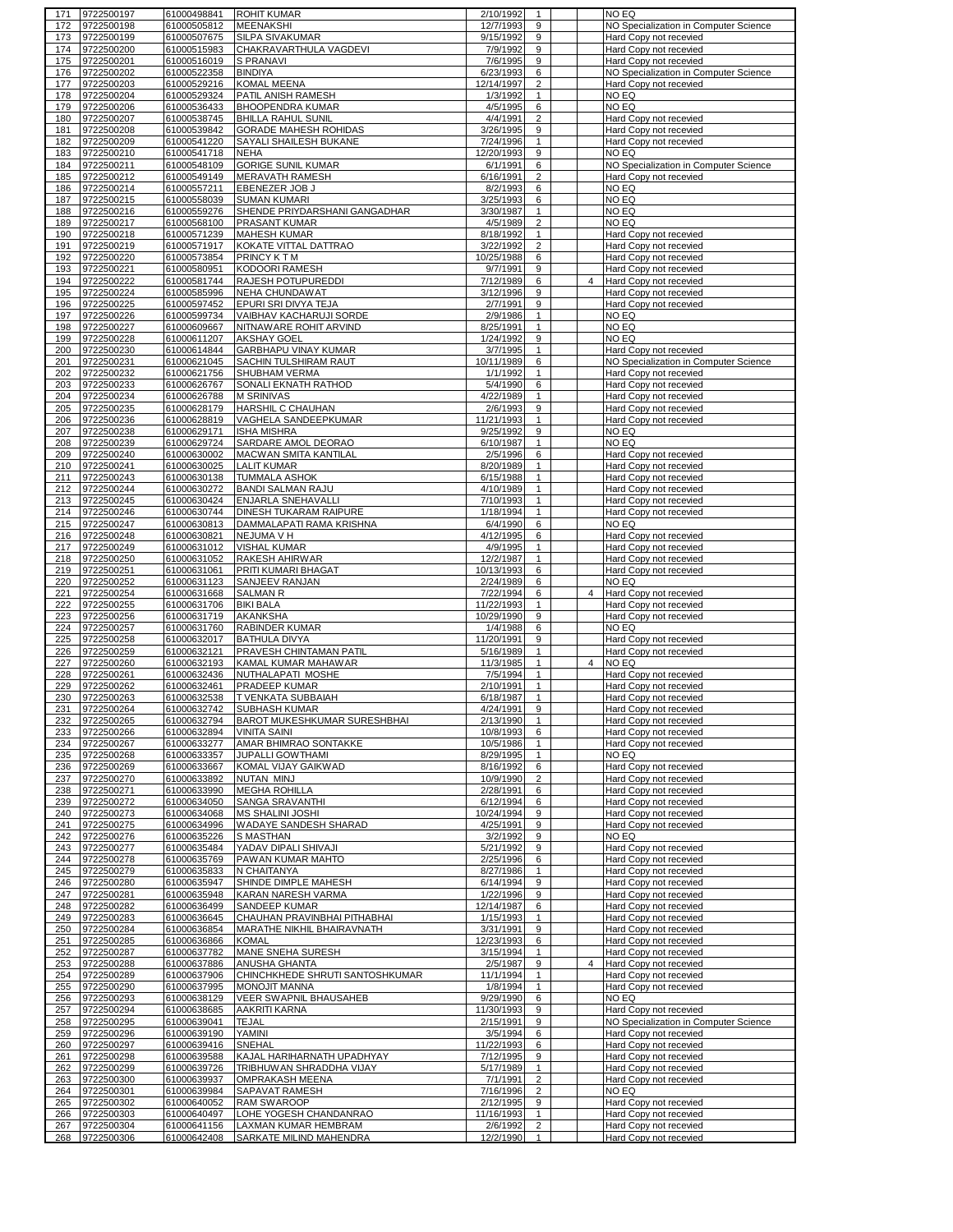| 171 | 9722500197     | 61000498841 | <b>ROHIT KUMAR</b>                  | 2/10/1992  | -1             |                | NO EQ                                 |
|-----|----------------|-------------|-------------------------------------|------------|----------------|----------------|---------------------------------------|
| 172 | 9722500198     | 61000505812 | <b>MEENAKSHI</b>                    | 12/7/1993  | 9              |                | NO Specialization in Computer Science |
| 173 | 9722500199     | 61000507675 | SILPA SIVAKUMAR                     | 9/15/1992  | 9              |                | Hard Copy not recevied                |
| 174 | 9722500200     | 61000515983 | CHAKRAVARTHULA VAGDEVI              | 7/9/1992   | 9              |                | Hard Copy not recevied                |
| 175 | 9722500201     | 61000516019 | <b>S PRANAVI</b>                    | 7/6/1995   | 9              |                | Hard Copy not recevied                |
|     |                |             |                                     |            |                |                |                                       |
| 176 | 9722500202     | 61000522358 | <b>BINDIYA</b>                      | 6/23/1993  | 6              |                | NO Specialization in Computer Science |
| 177 | 9722500203     | 61000529216 | KOMAL MEENA                         | 12/14/1997 | $\overline{2}$ |                | Hard Copy not recevied                |
| 178 | 9722500204     | 61000529324 | PATIL ANISH RAMESH                  | 1/3/1992   | 1              |                | NO EQ                                 |
| 179 | 9722500206     | 61000536433 | <b>BHOOPENDRA KUMAR</b>             | 4/5/1995   | 6              |                | NO EQ                                 |
| 180 | 9722500207     | 61000538745 | <b>BHILLA RAHUL SUNIL</b>           | 4/4/1991   | 2              |                | Hard Copy not recevied                |
| 181 | 9722500208     | 61000539842 | <b>GORADE MAHESH ROHIDAS</b>        | 3/26/1995  | 9              |                | Hard Copy not recevied                |
|     |                |             |                                     |            |                |                |                                       |
| 182 | 9722500209     | 61000541220 | SAYALI SHAILESH BUKANE              | 7/24/1996  | $\mathbf{1}$   |                | Hard Copy not recevied                |
| 183 | 9722500210     | 61000541718 | <b>NEHA</b>                         | 12/20/1993 | 9              |                | NO EQ                                 |
| 184 | 9722500211     | 61000548109 | <b>GORIGE SUNIL KUMAR</b>           | 6/1/1991   | 6              |                | NO Specialization in Computer Science |
| 185 | 9722500212     | 61000549149 | MERAVATH RAMESH                     | 6/16/1991  | $\overline{2}$ |                | Hard Copy not recevied                |
| 186 | 9722500214     | 61000557211 | EBENEZER JOB J                      | 8/2/1993   | 6              |                | NO EQ                                 |
|     |                |             |                                     |            |                |                |                                       |
| 187 | 9722500215     | 61000558039 | <b>SUMAN KUMARI</b>                 | 3/25/1993  | 6              |                | NO EQ                                 |
| 188 | 9722500216     | 61000559276 | SHENDE PRIYDARSHANI GANGADHAR       | 3/30/1987  | $\mathbf{1}$   |                | NO EQ                                 |
| 189 | 9722500217     | 61000568100 | PRASANT KUMAR                       | 4/5/1989   | $\overline{2}$ |                | NO EQ                                 |
| 190 | 9722500218     | 61000571239 | <b>MAHESH KUMAR</b>                 | 8/18/1992  | $\mathbf{1}$   |                | Hard Copy not recevied                |
| 191 | 9722500219     | 61000571917 | KOKATE VITTAL DATTRAO               | 3/22/1992  | $\overline{2}$ |                | Hard Copy not recevied                |
| 192 | 9722500220     | 61000573854 | <b>PRINCY KTM</b>                   | 10/25/1988 | 6              |                |                                       |
|     |                |             |                                     |            |                |                | Hard Copy not recevied                |
| 193 | 9722500221     | 61000580951 | KODOORI RAMESH                      | 9/7/1991   | 9              |                | Hard Copy not recevied                |
| 194 | 9722500222     | 61000581744 | RAJESH POTUPUREDDI                  | 7/12/1989  | 6              | 4              | Hard Copy not recevied                |
| 195 | 9722500224     | 61000585996 | <b>NEHA CHUNDAWAT</b>               | 3/12/1996  | 9              |                | Hard Copy not recevied                |
| 196 | 9722500225     | 61000597452 | EPURI SRI DIVYA TEJA                | 2/7/1991   | $\overline{9}$ |                | Hard Copy not recevied                |
|     | 9722500226     | 61000599734 | VAIBHAV KACHARUJI SORDE             |            | $\mathbf{1}$   |                |                                       |
| 197 |                |             |                                     | 2/9/1986   |                |                | NO EQ                                 |
| 198 | 9722500227     | 61000609667 | <u>NITNAWARE ROHIT ARVIND</u>       | 8/25/1991  | $\mathbf{1}$   |                | NO EQ                                 |
| 199 | 9722500228     | 61000611207 | <b>AKSHAY GOEL</b>                  | 1/24/1992  | 9              |                | NO EQ                                 |
| 200 | 9722500230     | 61000614844 | GARBHAPU VINAY KUMAR                | 3/7/1995   | $\mathbf{1}$   |                | Hard Copy not recevied                |
| 201 | 9722500231     | 61000621045 | SACHIN TULSHIRAM RAUT               | 10/11/1989 | 6              |                | NO Specialization in Computer Science |
| 202 | 9722500232     | 61000621756 | SHUBHAM VERMA                       | 1/1/1992   | $\mathbf{1}$   |                | Hard Copy not recevied                |
|     |                |             |                                     |            |                |                |                                       |
| 203 | 9722500233     | 61000626767 | SONALI EKNATH RATHOD                | 5/4/1990   | 6              |                | Hard Copy not recevied                |
| 204 | 9722500234     | 61000626788 | M SRINIVAS                          | 4/22/1989  | $\mathbf{1}$   |                | Hard Copy not recevied                |
| 205 | 9722500235     | 61000628179 | HARSHIL C CHAUHAN                   | 2/6/1993   | 9              |                | Hard Copy not recevied                |
| 206 | 9722500236     | 61000628819 | VAGHELA SANDEEPKUMAR                | 11/21/1993 | 1              |                | Hard Copy not recevied                |
| 207 | 9722500238     | 61000629171 | <b>ISHA MISHRA</b>                  | 9/25/1992  | 9              |                | NO EQ                                 |
| 208 | 9722500239     | 61000629724 | SARDARE AMOL DEORAO                 | 6/10/1987  | $\mathbf{1}$   |                | NO EQ                                 |
|     |                |             |                                     |            |                |                |                                       |
| 209 | 9722500240     | 61000630002 | MACWAN SMITA KANTILAL               | 2/5/1996   | 6              |                | Hard Copy not recevied                |
| 210 | 9722500241     | 61000630025 | <b>LALIT KUMAR</b>                  | 8/20/1989  | $\mathbf{1}$   |                | Hard Copy not recevied                |
| 211 | 9722500243     | 61000630138 | <b>TUMMALA ASHOK</b>                | 6/15/1988  | $\mathbf{1}$   |                | Hard Copy not recevied                |
| 212 | 9722500244     | 61000630272 | <b>BANDI SALMAN RAJU</b>            | 4/10/1989  | $\mathbf{1}$   |                | Hard Copy not recevied                |
| 213 | 9722500245     | 61000630424 | ENJARLA SNEHAVALLI                  | 7/10/1993  | $\mathbf{1}$   |                | Hard Copy not recevied                |
|     |                |             |                                     |            |                |                |                                       |
| 214 | 9722500246     | 61000630744 | DINESH TUKARAM RAIPURE              | 1/18/1994  | $\mathbf{1}$   |                | Hard Copy not recevied                |
|     | 215 9722500247 | 61000630813 | DAMMALAPATI RAMA KRISHNA            | 6/4/1990   | 6              |                | NO EQ                                 |
| 216 | 9722500248     | 61000630821 | NEJUMA V H                          | 4/12/1995  | 6              |                | Hard Copy not recevied                |
| 217 | 9722500249     | 61000631012 | <b>VISHAL KUMAR</b>                 | 4/9/1995   | $\mathbf{1}$   |                | Hard Copy not recevied                |
| 218 | 9722500250     | 61000631052 | RAKESH AHIRWAR                      | 12/2/1987  | $\mathbf{1}$   |                | Hard Copy not recevied                |
| 219 | 9722500251     | 61000631061 | PRITI KUMARI BHAGAT                 | 10/13/1993 | 6              |                | Hard Copy not recevied                |
|     |                |             |                                     |            |                |                |                                       |
|     |                |             |                                     |            |                |                |                                       |
| 220 | 9722500252     | 61000631123 | SANJEEV RANJAN                      | 2/24/1989  | 6              |                | NO EQ                                 |
| 221 | 9722500254     | 61000631668 | <b>SALMAN R</b>                     | 7/22/1994  | 6              | $\overline{4}$ | Hard Copy not recevied                |
| 222 | 9722500255     | 61000631706 | <b>BIKI BALA</b>                    | 11/22/1993 | 1              |                | Hard Copy not recevied                |
| 223 | 9722500256     | 61000631719 | AKANKSHA                            | 10/29/1990 | 9              |                | Hard Copy not recevied                |
| 224 | 9722500257     | 61000631760 | <b>RABINDER KUMAR</b>               | 1/4/1988   | 6              |                | NO EQ                                 |
|     |                |             |                                     |            |                |                |                                       |
| 225 | 9722500258     | 61000632017 | <b>BATHULA DIVYA</b>                | 11/20/1991 | 9              |                | Hard Copy not recevied                |
| 226 | 9722500259     | 61000632121 | PRAVESH CHINTAMAN PATIL             | 5/16/1989  | 1              |                | Hard Copy not recevied                |
| 227 | 9722500260     | 61000632193 | KAMAL KUMAR MAHAWAR                 | 11/3/1985  | $\mathbf{1}$   | 4              | NO EQ                                 |
| 228 | 9722500261     | 61000632436 | NUTHALAPATI MOSHE                   | 7/5/1994   | 1              |                | Hard Copy not recevied                |
| 229 | 9722500262     | 61000632461 | PRADEEP KUMAR                       | 2/10/1991  | $\mathbf{1}$   |                | Hard Copy not recevied                |
| 230 | 9722500263     | 61000632538 | T VENKATA SUBBAIAH                  | 6/18/1987  | $\mathbf{1}$   |                | Hard Copy not recevied                |
| 231 | 9722500264     |             | SUBHASH KUMAR                       |            | 9              |                |                                       |
|     |                | 61000632742 |                                     | 4/24/1991  |                |                | Hard Copy not recevied                |
| 232 | 9722500265     | 61000632794 | <b>BAROT MUKESHKUMAR SURESHBHAI</b> | 2/13/1990  | $\mathbf{1}$   |                | Hard Copy not recevied                |
| 233 | 9722500266     | 61000632894 | <b>VINITA SAINI</b>                 | 10/8/1993  | 6              |                | Hard Copy not recevied                |
| 234 | 9722500267     | 61000633277 | AMAR BHIMRAO SONTAKKE               | 10/5/1986  | $\mathbf{1}$   |                | Hard Copy not recevied                |
| 235 | 9722500268     | 61000633357 | JUPALLI GOWTHAMI                    | 8/29/1995  | $\mathbf{1}$   |                | NO EQ                                 |
| 236 | 9722500269     | 61000633667 | KOMAL VIJAY GAIKWAD                 | 8/16/1992  | 6              |                | Hard Copy not recevied                |
| 237 | 9722500270     | 61000633892 | NUTAN MINJ                          | 10/9/1990  | $\overline{2}$ |                | Hard Copy not recevied                |
|     |                |             |                                     |            |                |                |                                       |
| 238 | 9722500271     | 61000633990 | <b>MEGHA ROHILLA</b>                | 2/28/1991  | 6              |                | Hard Copy not recevied                |
| 239 | 9722500272     | 61000634050 | SANGA SRAVANTHI                     | 6/12/1994  | 6              |                | Hard Copy not recevied                |
| 240 | 9722500273     | 61000634068 | MS SHALINI JOSHI                    | 10/24/1994 | 9              |                | Hard Copy not recevied                |
| 241 | 9722500275     | 61000634996 | WADAYE SANDESH SHARAD               | 4/25/1991  | 9              |                | Hard Copy not recevied                |
| 242 | 9722500276     | 61000635226 | S MASTHAN                           | 3/2/1992   | 9              |                | NO EQ                                 |
| 243 | 9722500277     | 61000635484 | YADAV DIPALI SHIVAJI                | 5/21/1992  | 9              |                | Hard Copy not recevied                |
|     |                |             |                                     |            |                |                |                                       |
| 244 | 9722500278     | 61000635769 | PAWAN KUMAR MAHTO                   | 2/25/1996  | 6              |                | Hard Copy not recevied                |
| 245 | 9722500279     | 61000635833 | N CHAITANYA                         | 8/27/1986  | $\mathbf{1}$   |                | Hard Copy not recevied                |
| 246 | 9722500280     | 61000635947 | SHINDE DIMPLE MAHESH                | 6/14/1994  | 9              |                | Hard Copy not recevied                |
| 247 | 9722500281     | 61000635948 | <b>KARAN NARESH VARMA</b>           | 1/22/1996  | 9              |                | Hard Copy not recevied                |
| 248 | 9722500282     | 61000636499 | SANDEEP KUMAR                       | 12/14/1987 | 6              |                | Hard Copy not recevied                |
| 249 | 9722500283     | 61000636645 | CHAUHAN PRAVINBHAI PITHABHAI        | 1/15/1993  | $\mathbf{1}$   |                | Hard Copy not recevied                |
|     |                |             |                                     |            | 9              |                |                                       |
| 250 | 9722500284     | 61000636854 | MARATHE NIKHIL BHAIRAVNATH          | 3/31/1991  |                |                | Hard Copy not recevied                |
| 251 | 9722500285     | 61000636866 | <b>KOMAL</b>                        | 12/23/1993 | 6              |                | Hard Copy not recevied                |
| 252 | 9722500287     | 61000637782 | MANE SNEHA SURESH                   | 3/15/1994  | $\mathbf{1}$   |                | Hard Copy not recevied                |
| 253 | 9722500288     | 61000637886 | ANUSHA GHANTA                       | 2/5/1987   | 9              | 4              | Hard Copy not recevied                |
| 254 | 9722500289     | 61000637906 | CHINCHKHEDE SHRUTI SANTOSHKUMAR     | 11/1/1994  | $\mathbf{1}$   |                | Hard Copy not recevied                |
| 255 | 9722500290     | 61000637995 | <b>MONOJIT MANNA</b>                | 1/8/1994   | 1              |                | Hard Copy not recevied                |
|     |                |             |                                     |            |                |                |                                       |
| 256 | 9722500293     | 61000638129 | VEER SWAPNIL BHAUSAHEB              | 9/29/1990  | 6              |                | NO EQ                                 |
| 257 | 9722500294     | 61000638685 | AAKRITI KARNA                       | 11/30/1993 | 9              |                | Hard Copy not recevied                |
| 258 | 9722500295     | 61000639041 | <b>TEJAL</b>                        | 2/15/1991  | 9              |                | NO Specialization in Computer Science |
| 259 | 9722500296     | 61000639190 | YAMINI                              | 3/5/1994   | 6              |                | Hard Copy not recevied                |
| 260 | 9722500297     | 61000639416 | SNEHAL                              | 11/22/1993 | 6              |                | Hard Copy not recevied                |
| 261 | 9722500298     | 61000639588 | KAJAL HARIHARNATH UPADHYAY          | 7/12/1995  | 9              |                | Hard Copy not recevied                |
|     |                |             |                                     |            |                |                |                                       |
| 262 | 9722500299     | 61000639726 | TRIBHUWAN SHRADDHA VIJAY            | 5/17/1989  | $\mathbf{1}$   |                | Hard Copy not recevied                |
| 263 | 9722500300     | 61000639937 | OMPRAKASH MEENA                     | 7/1/1991   | $\overline{2}$ |                | Hard Copy not recevied                |
| 264 | 9722500301     | 61000639984 | SAPAVAT RAMESH                      | 7/16/1996  | $\overline{2}$ |                | NO EQ                                 |
| 265 | 9722500302     | 61000640052 | RAM SWAROOP                         | 2/12/1995  | 9              |                | Hard Copy not recevied                |
| 266 | 9722500303     | 61000640497 | LOHE YOGESH CHANDANRAO              | 11/16/1993 | $\mathbf{1}$   |                | Hard Copy not recevied                |
| 267 | 9722500304     | 61000641156 | LAXMAN KUMAR HEMBRAM                | 2/6/1992   | $\overline{2}$ |                | Hard Copy not recevied                |
| 268 | 9722500306     | 61000642408 | SARKATE MILIND MAHENDRA             | 12/2/1990  | $\mathbf{1}$   |                | Hard Copy not recevied                |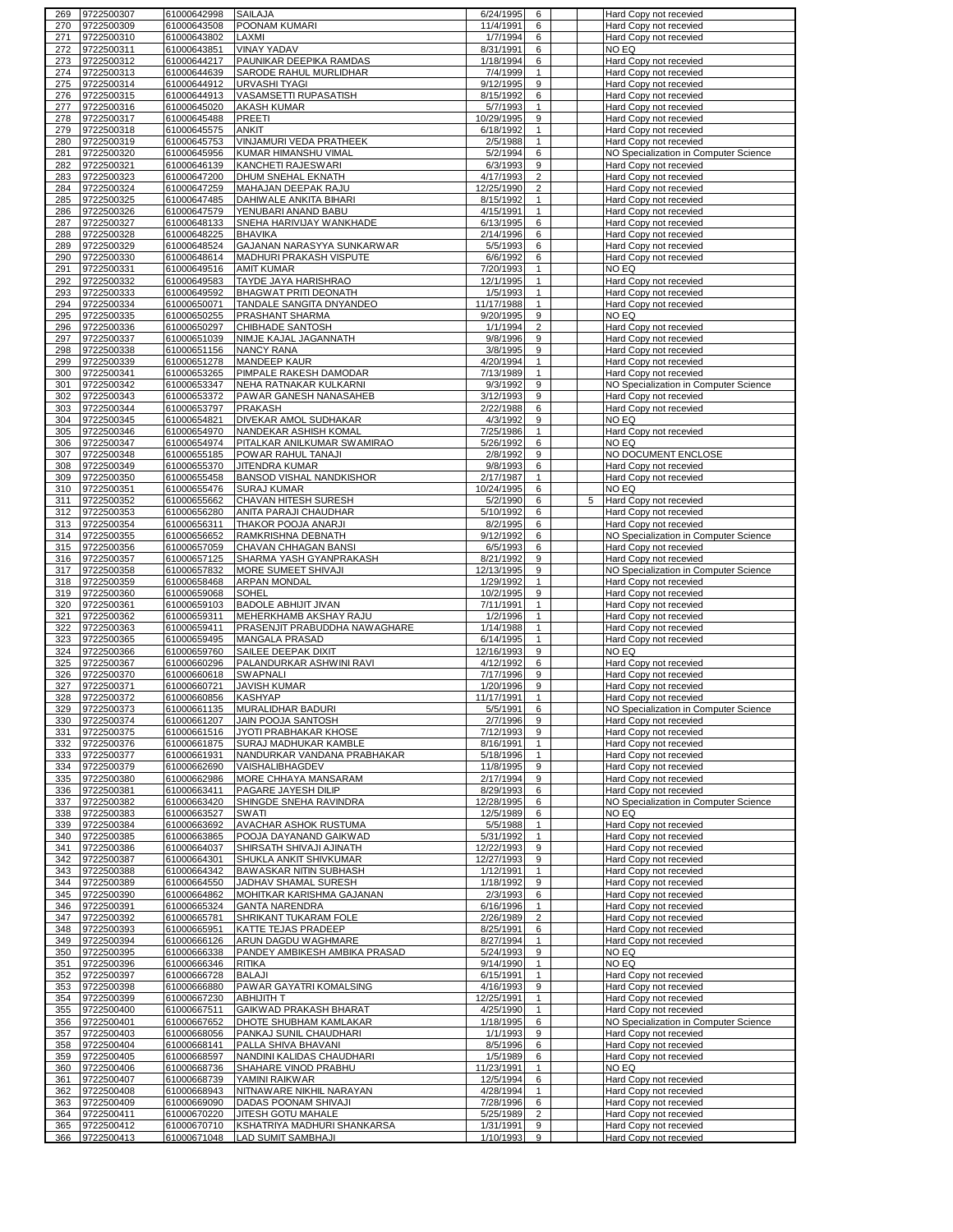| 270 | 9722500307     | 61000642998 | SAILAJA                       | 6/24/1995  | 6              |   | Hard Copy not recevied                |
|-----|----------------|-------------|-------------------------------|------------|----------------|---|---------------------------------------|
|     | 9722500309     | 61000643508 | POONAM KUMARI                 | 11/4/1991  | 6              |   | Hard Copy not recevied                |
| 271 | 9722500310     | 61000643802 | LAXMI                         | 1/7/1994   | 6              |   | Hard Copy not recevied                |
| 272 | 9722500311     | 61000643851 | <b>VINAY YADAV</b>            | 8/31/1991  | 6              |   | NO EQ                                 |
| 273 | 9722500312     | 61000644217 | PAUNIKAR DEEPIKA RAMDAS       | 1/18/1994  | 6              |   | Hard Copy not recevied                |
|     |                |             |                               |            |                |   |                                       |
| 274 | 9722500313     | 61000644639 | SARODE RAHUL MURLIDHAR        | 7/4/1999   | $\mathbf{1}$   |   | Hard Copy not recevied                |
| 275 | 9722500314     | 61000644912 | URVASHI TYAGI                 | 9/12/1995  | 9              |   | Hard Copy not recevied                |
| 276 | 9722500315     | 61000644913 | VASAMSETTI RUPASATISH         | 8/15/1992  | 6              |   | Hard Copy not recevied                |
| 277 | 9722500316     | 61000645020 | <b>AKASH KUMAR</b>            | 5/7/1993   | $\mathbf{1}$   |   | Hard Copy not recevied                |
| 278 | 9722500317     | 61000645488 | PREETI                        | 10/29/1995 | 9              |   | Hard Copy not recevied                |
| 279 | 9722500318     | 61000645575 | ANKIT                         | 6/18/1992  | $\mathbf{1}$   |   | Hard Copy not recevied                |
|     |                |             |                               |            |                |   |                                       |
| 280 | 9722500319     | 61000645753 | VINJAMURI VEDA PRATHEEK       | 2/5/1988   | $\mathbf{1}$   |   | Hard Copy not recevied                |
| 281 | 9722500320     | 61000645956 | KUMAR HIMANSHU VIMAL          | 5/2/1994   | 6              |   | NO Specialization in Computer Science |
| 282 | 9722500321     | 61000646139 | KANCHETI RAJESWARI            | 6/3/1993   | 9              |   | Hard Copy not recevied                |
| 283 | 9722500323     | 61000647200 | DHUM SNEHAL EKNATH            | 4/17/1993  | $\overline{2}$ |   | Hard Copy not recevied                |
| 284 | 9722500324     | 61000647259 | MAHAJAN DEEPAK RAJU           | 12/25/1990 | $\overline{2}$ |   | Hard Copy not recevied                |
| 285 | 9722500325     | 61000647485 | DAHIWALE ANKITA BIHARI        | 8/15/1992  | $\mathbf{1}$   |   | Hard Copy not recevied                |
|     |                | 61000647579 |                               |            | $\mathbf{1}$   |   |                                       |
| 286 | 9722500326     |             | YENUBARI ANAND BABU           | 4/15/1991  |                |   | Hard Copy not recevied                |
| 287 | 9722500327     | 61000648133 | SNEHA HARIVIJAY WANKHADE      | 6/13/1995  | 6              |   | Hard Copy not recevied                |
| 288 | 9722500328     | 61000648225 | <b>BHAVIKA</b>                | 2/14/1996  | 6              |   | Hard Copy not recevied                |
| 289 | 9722500329     | 61000648524 | GAJANAN NARASYYA SUNKARWAR    | 5/5/1993   | 6              |   | Hard Copy not recevied                |
| 290 | 9722500330     | 61000648614 | MADHURI PRAKASH VISPUTE       | 6/6/1992   | 6              |   | Hard Copy not recevied                |
| 291 | 9722500331     | 61000649516 | AMIT KUMAR                    | 7/20/1993  | 1              |   | NO EQ                                 |
| 292 | 9722500332     |             | TAYDE JAYA HARISHRAO          | 12/1/1995  | $\mathbf{1}$   |   |                                       |
|     |                | 61000649583 |                               |            |                |   | Hard Copy not recevied                |
| 293 | 9722500333     | 61000649592 | BHAGWAT PRITI DEONATH         | 1/5/1993   | $\mathbf{1}$   |   | Hard Copy not recevied                |
| 294 | 9722500334     | 61000650071 | TANDALE SANGITA DNYANDEO      | 11/17/1988 | $\mathbf{1}$   |   | Hard Copy not recevied                |
| 295 | 9722500335     | 61000650255 | PRASHANT SHARMA               | 9/20/1995  | 9              |   | NO EQ                                 |
| 296 | 9722500336     | 61000650297 | CHIBHADE SANTOSH              | 1/1/1994   | $\overline{2}$ |   | Hard Copy not recevied                |
| 297 | 9722500337     | 61000651039 | NIMJE KAJAL JAGANNATH         | 9/8/1996   | 9              |   | Hard Copy not recevied                |
|     |                |             |                               |            |                |   |                                       |
| 298 | 9722500338     | 61000651156 | <b>NANCY RANA</b>             | 3/8/1995   | 9              |   | Hard Copy not recevied                |
| 299 | 9722500339     | 61000651278 | MANDEEP KAUR                  | 4/20/1994  | $\mathbf{1}$   |   | Hard Copy not recevied                |
| 300 | 9722500341     | 61000653265 | PIMPALE RAKESH DAMODAR        | 7/13/1989  | $\mathbf{1}$   |   | Hard Copy not recevied                |
| 301 | 9722500342     | 61000653347 | NEHA RATNAKAR KULKARNI        | 9/3/1992   | 9              |   | NO Specialization in Computer Science |
| 302 | 9722500343     | 61000653372 | PAWAR GANESH NANASAHEB        | 3/12/1993  | 9              |   | Hard Copy not recevied                |
|     |                |             |                               |            |                |   |                                       |
| 303 | 9722500344     | 61000653797 | PRAKASH                       | 2/22/1988  | 6              |   | Hard Copy not recevied                |
| 304 | 9722500345     | 61000654821 | DIVEKAR AMOL SUDHAKAR         | 4/3/1992   | 9              |   | NO EQ                                 |
| 305 | 9722500346     | 61000654970 | NANDEKAR ASHISH KOMAL         | 7/25/1986  | $\mathbf{1}$   |   | Hard Copy not recevied                |
| 306 | 9722500347     | 61000654974 | PITALKAR ANILKUMAR SWAMIRAO   | 5/26/1992  | 6              |   | NO EQ                                 |
| 307 | 9722500348     | 61000655185 | POWAR RAHUL TANAJI            | 2/8/1992   | 9              |   | NO DOCUMENT ENCLOSE                   |
|     | 9722500349     |             |                               |            |                |   |                                       |
| 308 |                | 61000655370 | JITENDRA KUMAR                | 9/8/1993   | 6              |   | Hard Copy not recevied                |
| 309 | 9722500350     | 61000655458 | BANSOD VISHAL NANDKISHOR      | 2/17/1987  | $\mathbf{1}$   |   | Hard Copy not recevied                |
| 310 | 9722500351     | 61000655476 | <b>SURAJ KUMAR</b>            | 10/24/1995 | 6              |   | NO EQ                                 |
| 311 | 9722500352     | 61000655662 | CHAVAN HITESH SURESH          | 5/2/1990   | 6              | 5 | Hard Copy not recevied                |
| 312 | 9722500353     | 61000656280 | ANITA PARAJI CHAUDHAR         | 5/10/1992  | 6              |   | Hard Copy not recevied                |
| 313 | 9722500354     | 61000656311 | THAKOR POOJA ANARJI           | 8/2/1995   | 6              |   | Hard Copy not recevied                |
| 314 | 9722500355     | 61000656652 | RAMKRISHNA DEBNATH            | 9/12/1992  | 6              |   | NO Specialization in Computer Science |
|     |                |             | CHAVAN CHHAGAN BANSI          |            |                |   |                                       |
| 315 | 9722500356     | 61000657059 |                               | 6/5/1993   | 6              |   | Hard Copy not recevied                |
| 316 | 9722500357     | 61000657125 | SHARMA YASH GYANPRAKASH       | 8/21/1992  | 9              |   | Hard Copy not recevied                |
| 317 | 9722500358     | 61000657832 | MORE SUMEET SHIVAJI           | 12/13/1995 | 9              |   | NO Specialization in Computer Science |
| 318 | 9722500359     | 61000658468 | <b>ARPAN MONDAL</b>           | 1/29/1992  | $\mathbf{1}$   |   | Hard Copy not recevied                |
| 319 | 9722500360     | 61000659068 | SOHEL                         | 10/2/1995  | 9              |   | Hard Copy not recevied                |
| 320 | 9722500361     | 61000659103 | <b>BADOLE ABHIJIT JIVAN</b>   | 7/11/1991  | $\mathbf{1}$   |   | Hard Copy not recevied                |
| 321 | 9722500362     | 61000659311 | MEHERKHAMB AKSHAY RAJU        | 1/2/1996   | $\mathbf{1}$   |   | Hard Copy not recevied                |
| 322 | 9722500363     |             | PRASENJIT PRABUDDHA NAWAGHARE | 1/14/1988  | 1              |   | Hard Copy not recevied                |
|     |                |             |                               |            |                |   |                                       |
|     |                | 61000659411 |                               |            |                |   |                                       |
| 323 | 9722500365     | 61000659495 | MANGALA PRASAD                | 6/14/1995  | 1              |   | Hard Copy not recevied                |
| 324 | 9722500366     | 61000659760 | SAILEE DEEPAK DIXIT           | 12/16/1993 | 9              |   | NO EQ                                 |
| 325 | 9722500367     | 61000660296 | PALANDURKAR ASHWINI RAVI      | 4/12/1992  | 6              |   | Hard Copy not recevied                |
| 326 | 9722500370     | 61000660618 | SWAPNALI                      | 7/17/1996  | 9              |   | Hard Copy not recevied                |
| 327 | 9722500371     | 61000660721 | <b>JAVISH KUMAR</b>           | 1/20/1996  | 9              |   | Hard Copy not recevied                |
| 328 | 9722500372     | 61000660856 |                               | 11/17/1991 | $\mathbf{1}$   |   |                                       |
|     |                |             | <b>KASHYAP</b>                |            | $\epsilon$     |   | Hard Copy not recevied                |
| 329 | 9722500373     | 61000661135 | MURALIDHAR BADURI             | 5/5/1991   |                |   | NO Specialization in Computer Science |
| 330 | 9722500374     | 61000661207 | JAIN POOJA SANTOSH            | 2/7/1996   | 9              |   | Hard Copy not recevied                |
| 331 | 9722500375     | 61000661516 | JYOTI PRABHAKAR KHOSE         | 7/12/1993  | 9              |   | Hard Copy not recevied                |
| 332 | 9722500376     | 61000661875 | SURAJ MADHUKAR KAMBLE         | 8/16/1991  | $\mathbf{1}$   |   | Hard Copy not recevied                |
| 333 | 9722500377     | 61000661931 | NANDURKAR VANDANA PRABHAKAR   | 5/18/1996  | $\mathbf{1}$   |   | Hard Copy not recevied                |
| 334 | 9722500379     | 61000662690 | VAISHALIBHAGDEV               | 11/8/1995  | 9              |   | Hard Copy not recevied                |
| 335 | 9722500380     | 61000662986 | MORE CHHAYA MANSARAM          | 2/17/1994  | 9              |   | Hard Copy not recevied                |
|     |                |             |                               |            |                |   |                                       |
| 336 | 9722500381     | 61000663411 | PAGARE JAYESH DILIP           | 8/29/1993  | 6              |   | Hard Copy not recevied                |
| 337 | 9722500382     | 61000663420 | SHINGDE SNEHA RAVINDRA        | 12/28/1995 | 6              |   | NO Specialization in Computer Science |
| 338 | 9722500383     | 61000663527 | SWATI                         | 12/5/1989  | 6              |   | NO EQ                                 |
| 339 | 9722500384     | 61000663692 | AVACHAR ASHOK RUSTUMA         | 5/5/1988   | $\mathbf{1}$   |   | Hard Copy not recevied                |
| 340 | 9722500385     | 61000663865 | POOJA DAYANAND GAIKWAD        | 5/31/1992  | $\mathbf{1}$   |   | Hard Copy not recevied                |
| 341 | 9722500386     | 61000664037 | SHIRSATH SHIVAJI AJINATH      | 12/22/1993 | 9              |   | Hard Copy not recevied                |
| 342 | 9722500387     | 61000664301 | SHUKLA ANKIT SHIVKUMAR        | 12/27/1993 | 9              |   | Hard Copy not recevied                |
| 343 | 9722500388     | 61000664342 | BAWASKAR NITIN SUBHASH        | 1/12/1991  | 1              |   | Hard Copy not recevied                |
|     |                |             |                               |            |                |   |                                       |
| 344 | 9722500389     | 61000664550 | JADHAV SHAMAL SURESH          | 1/18/1992  | 9              |   | Hard Copy not recevied                |
| 345 | 9722500390     | 61000664862 | MOHITKAR KARISHMA GAJANAN     | 2/3/1993   | 6              |   | Hard Copy not recevied                |
| 346 | 9722500391     | 61000665324 | <b>GANTA NARENDRA</b>         | 6/16/1996  | $\mathbf{1}$   |   | Hard Copy not recevied                |
| 347 | 9722500392     | 61000665781 | SHRIKANT TUKARAM FOLE         | 2/26/1989  | $\overline{2}$ |   | Hard Copy not recevied                |
| 348 | 9722500393     | 61000665951 | KATTE TEJAS PRADEEP           | 8/25/1991  | 6              |   | Hard Copy not recevied                |
| 349 | 9722500394     | 61000666126 | ARUN DAGDU WAGHMARE           | 8/27/1994  | 1              |   | Hard Copy not recevied                |
| 350 | 9722500395     | 61000666338 | PANDEY AMBIKESH AMBIKA PRASAD | 5/24/1993  | 9              |   | NO EQ                                 |
|     |                |             |                               |            |                |   |                                       |
| 351 | 9722500396     | 61000666346 | <b>RITIKA</b>                 | 9/14/1990  | $\mathbf{1}$   |   | NO EQ                                 |
| 352 | 9722500397     | 61000666728 | <b>BALAJI</b>                 | 6/15/1991  | $\mathbf{1}$   |   | Hard Copy not recevied                |
| 353 | 9722500398     | 61000666880 | PAWAR GAYATRI KOMALSING       | 4/16/1993  | 9              |   | Hard Copy not recevied                |
| 354 | 9722500399     | 61000667230 | ABHIJITH T                    | 12/25/1991 | $\mathbf{1}$   |   | Hard Copy not recevied                |
|     | 355 9722500400 | 61000667511 | GAIKWAD PRAKASH BHARAT        | 4/25/1990  | $\mathbf{1}$   |   | Hard Copy not recevied                |
| 356 | 9722500401     | 61000667652 | DHOTE SHUBHAM KAMLAKAR        | 1/18/1995  | 6              |   | NO Specialization in Computer Science |
| 357 | 9722500403     | 61000668056 | PANKAJ SUNIL CHAUDHARI        | 1/1/1993   | 9              |   | Hard Copy not recevied                |
| 358 | 9722500404     | 61000668141 | PALLA SHIVA BHAVANI           | 8/5/1996   | 6              |   | Hard Copy not recevied                |
|     |                |             |                               |            |                |   |                                       |
| 359 | 9722500405     | 61000668597 | NANDINI KALIDAS CHAUDHARI     | 1/5/1989   | 6              |   | Hard Copy not recevied                |
| 360 | 9722500406     | 61000668736 | SHAHARE VINOD PRABHU          | 11/23/1991 | $\mathbf{1}$   |   | NO EQ                                 |
| 361 | 9722500407     | 61000668739 | YAMINI RAIKWAR                | 12/5/1994  | 6              |   | Hard Copy not recevied                |
| 362 | 9722500408     | 61000668943 | NITNAWARE NIKHIL NARAYAN      | 4/28/1994  | $\mathbf{1}$   |   | Hard Copy not recevied                |
| 363 | 9722500409     | 61000669090 | DADAS POONAM SHIVAJI          | 7/28/1996  | 6              |   | Hard Copy not recevied                |
| 364 | 9722500411     | 61000670220 | JITESH GOTU MAHALE            | 5/25/1989  | $\overline{2}$ |   | Hard Copy not recevied                |
| 365 | 9722500412     | 61000670710 | KSHATRIYA MADHURI SHANKARSA   | 1/31/1991  | 9              |   | Hard Copy not recevied                |
| 366 | 9722500413     | 61000671048 | LAD SUMIT SAMBHAJI            | 1/10/1993  | 9              |   | Hard Copy not recevied                |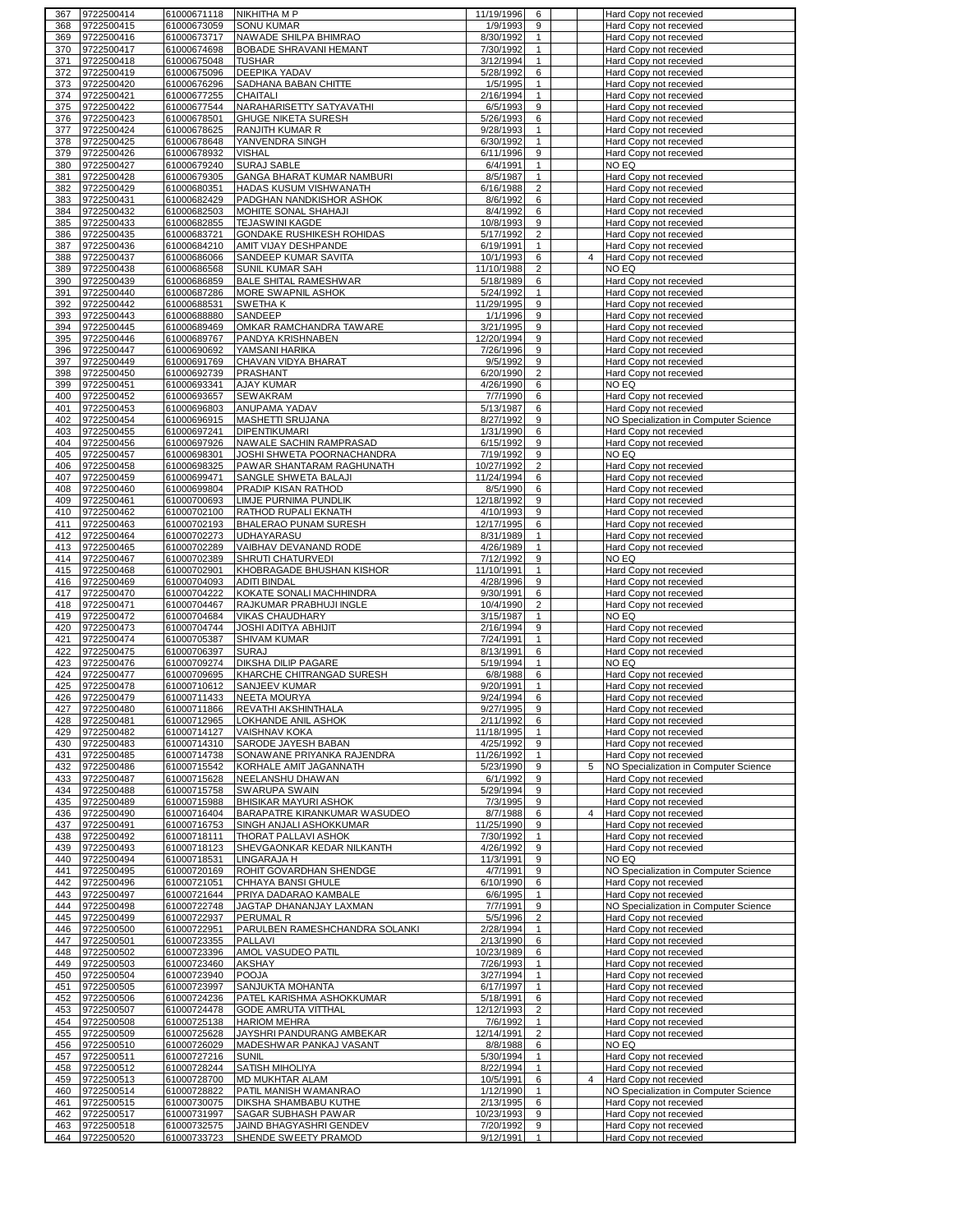| 368        | 9722500414               | 61000671118                | <b>NIKHITHA M P</b>                             | 11/19/1996<br>6                             |                | Hard Copy not recevied                           |
|------------|--------------------------|----------------------------|-------------------------------------------------|---------------------------------------------|----------------|--------------------------------------------------|
|            | 9722500415               | 61000673059                | <b>SONU KUMAR</b>                               | 1/9/1993<br>9                               |                | Hard Copy not recevied                           |
|            | 9722500416               | 61000673717                | NAWADE SHILPA BHIMRAO                           | 8/30/1992<br>$\mathbf{1}$                   |                | Hard Copy not recevied                           |
| 369        |                          |                            |                                                 |                                             |                |                                                  |
| 370        | 9722500417               | 61000674698                | <b>BOBADE SHRAVANI HEMANT</b>                   | 7/30/1992<br>$\mathbf{1}$                   |                | Hard Copy not recevied                           |
| 371        | 9722500418               | 61000675048                | <b>TUSHAR</b>                                   | 3/12/1994<br>$\mathbf{1}$                   |                | Hard Copy not recevied                           |
| 372        | 9722500419               | 61000675096                | <b>DEEPIKA YADAV</b>                            | 5/28/1992<br>6                              |                | Hard Copy not recevied                           |
|            |                          |                            |                                                 |                                             |                |                                                  |
| 373        | 9722500420               | 61000676296                | SADHANA BABAN CHITTE                            | 1/5/1995<br>$\mathbf{1}$                    |                | Hard Copy not recevied                           |
| 374        | 9722500421               | 61000677255                | CHAITALI                                        | 2/16/1994<br>$\mathbf{1}$                   |                | Hard Copy not recevied                           |
| 375        | 9722500422               | 61000677544                | NARAHARISETTY SATYAVATHI                        | 6/5/1993<br>9                               |                | Hard Copy not recevied                           |
|            |                          |                            |                                                 |                                             |                |                                                  |
| 376        | 9722500423               | 61000678501                | <b>GHUGE NIKETA SURESH</b>                      | 5/26/1993<br>6                              |                | Hard Copy not recevied                           |
| 377        | 9722500424               | 61000678625                | RANJITH KUMAR R                                 | 9/28/1993<br>$\mathbf{1}$                   |                | Hard Copy not recevied                           |
| 378        | 9722500425               | 61000678648                | YANVENDRA SINGH                                 | 6/30/1992<br>$\mathbf{1}$                   |                | Hard Copy not recevied                           |
|            |                          |                            |                                                 |                                             |                |                                                  |
| 379        | 9722500426               | 61000678932                | <b>VISHAL</b>                                   | 9<br>6/11/1996                              |                | Hard Copy not recevied                           |
| 380        | 9722500427               | 61000679240                | SURAJ SABLE                                     | 6/4/1991<br>$\mathbf{1}$                    |                | NO EQ                                            |
| 381        | 9722500428               | 61000679305                | GANGA BHARAT KUMAR NAMBURI                      | 8/5/1987<br>$\mathbf{1}$                    |                | Hard Copy not recevied                           |
|            |                          |                            |                                                 |                                             |                |                                                  |
| 382        | 9722500429               | 61000680351                | HADAS KUSUM VISHWANATH                          | 6/16/1988<br>$\overline{2}$                 |                | Hard Copy not recevied                           |
| 383        | 9722500431               | 61000682429                | PADGHAN NANDKISHOR ASHOK                        | 8/6/1992<br>6                               |                | Hard Copy not recevied                           |
| 384        | 9722500432               | 61000682503                | MOHITE SONAL SHAHAJI                            | 8/4/1992<br>6                               |                | Hard Copy not recevied                           |
|            |                          |                            |                                                 |                                             |                |                                                  |
| 385        | 9722500433               | 61000682855                | <b>TEJASWINI KAGDE</b>                          | 10/8/1993<br>9                              |                | Hard Copy not recevied                           |
| 386        | 9722500435               | 61000683721                | GONDAKE RUSHIKESH ROHIDAS                       | 5/17/1992<br>$\overline{2}$                 |                | Hard Copy not recevied                           |
| 387        | 9722500436               | 61000684210                | AMIT VIJAY DESHPANDE                            | 6/19/1991<br>$\mathbf{1}$                   |                | Hard Copy not recevied                           |
|            |                          |                            |                                                 |                                             |                |                                                  |
| 388        | 9722500437               | 61000686066                | SANDEEP KUMAR SAVITA                            | 10/1/1993<br>6                              | $\overline{4}$ | Hard Copy not recevied                           |
| 389        | 9722500438               | 61000686568                | SUNIL KUMAR SAH                                 | 11/10/1988<br>$\overline{2}$                |                | NO EQ                                            |
| 390        | 9722500439               | 61000686859                | <b>BALE SHITAL RAMESHWAR</b>                    | 5/18/1989<br>6                              |                | Hard Copy not recevied                           |
|            |                          |                            |                                                 | $\mathbf{1}$                                |                |                                                  |
| 391        | 9722500440               | 61000687286                | MORE SWAPNIL ASHOK                              | 5/24/1992                                   |                | Hard Copy not recevied                           |
| 392        | 9722500442               | 61000688531                | <b>SWETHAK</b>                                  | 11/29/1995<br>9                             |                | Hard Copy not recevied                           |
| 393        | 9722500443               | 61000688880                | SANDEEP                                         | 1/1/1996<br>9                               |                | Hard Copy not recevied                           |
| 394        | 9722500445               | 61000689469                | OMKAR RAMCHANDRA TAWARE                         | 3/21/1995<br>9                              |                | Hard Copy not recevied                           |
|            |                          |                            |                                                 |                                             |                |                                                  |
| 395        | 9722500446               | 61000689767                | PANDYA KRISHNABEN                               | 12/20/1994<br>9                             |                | Hard Copy not recevied                           |
| 396        | 9722500447               | 61000690692                | YAMSANI HARIKA                                  | 7/26/1996<br>9                              |                | Hard Copy not recevied                           |
| 397        | 9722500449               | 61000691769                | CHAVAN VIDYA BHARAT                             | 9/5/1992<br>9                               |                | Hard Copy not recevied                           |
|            |                          |                            |                                                 |                                             |                |                                                  |
| 398        | 9722500450               | 61000692739                | PRASHANT                                        | 6/20/1990<br>$\overline{2}$                 |                | Hard Copy not recevied                           |
| 399        | 9722500451               | 61000693341                | <b>AJAY KUMAR</b>                               | 4/26/1990<br>6                              |                | NO EQ                                            |
| 400        | 9722500452               | 61000693657                | SEWAKRAM                                        | 7/7/1990<br>6                               |                | Hard Copy not recevied                           |
|            |                          |                            |                                                 |                                             |                |                                                  |
| 401        | 9722500453               | 61000696803                | ANUPAMA YADAV                                   | 5/13/1987<br>6                              |                | Hard Copy not recevied                           |
| 402        | 9722500454               | 61000696915                | MASHETTI SRUJANA                                | 8/27/1992<br>9                              |                | NO Specialization in Computer Science            |
| 403        | 9722500455               | 61000697241                | <b>DIPENTIKUMARI</b>                            | 1/31/1990<br>6                              |                | Hard Copy not recevied                           |
|            |                          |                            | NAWALE SACHIN RAMPRASAD                         | 9                                           |                |                                                  |
| 404        | 9722500456               | 61000697926                |                                                 | 6/15/1992                                   |                | Hard Copy not recevied                           |
| 405        | 9722500457               | 61000698301                | JOSHI SHWETA POORNACHANDRA                      | 7/19/1992<br>9                              |                | NO EQ                                            |
| 406        | 9722500458               | 61000698325                | PAWAR SHANTARAM RAGHUNATH                       | 10/27/1992<br>$\overline{2}$                |                | Hard Copy not recevied                           |
| 407        |                          |                            |                                                 | 6                                           |                |                                                  |
|            | 9722500459               | 61000699471                | SANGLE SHWETA BALAJI                            | 11/24/1994                                  |                | Hard Copy not recevied                           |
| 408        | 9722500460               | 61000699804                | PRADIP KISAN RATHOD                             | 8/5/1990<br>6                               |                | Hard Copy not recevied                           |
| 409        | 9722500461               | 61000700693                | LIMJE PURNIMA PUNDLIK                           | 12/18/1992<br>9                             |                | Hard Copy not recevied                           |
| 410        | 9722500462               | 61000702100                | RATHOD RUPALI EKNATH                            | 4/10/1993<br>9                              |                | Hard Copy not recevied                           |
|            |                          |                            |                                                 |                                             |                |                                                  |
| 411        | 9722500463               | 61000702193                | BHALERAO PUNAM SURESH                           | 12/17/1995<br>6                             |                | Hard Copy not recevied                           |
| 412        | 9722500464               | 61000702273                | <b>UDHAYARASU</b>                               | 8/31/1989<br>$\mathbf{1}$                   |                | Hard Copy not recevied                           |
| 413        | 9722500465               | 61000702289                | VAIBHAV DEVANAND RODE                           | 4/26/1989<br>1                              |                | Hard Copy not recevied                           |
|            |                          |                            |                                                 |                                             |                |                                                  |
| 414        | 9722500467               | 61000702389                | SHRUTI CHATURVEDI                               | 7/12/1992<br>9                              |                | NO EQ                                            |
| 415        | 9722500468               | 61000702901                | KHOBRAGADE BHUSHAN KISHOR                       | 11/10/1991<br>1                             |                | Hard Copy not recevied                           |
| 416        | 9722500469               | 61000704093                | <b>ADITI BINDAL</b>                             | 4/28/1996<br>9                              |                | Hard Copy not recevied                           |
| 417        | 9722500470               | 61000704222                | KOKATE SONALI MACHHINDRA                        | 9/30/1991<br>6                              |                | Hard Copy not recevied                           |
|            |                          |                            |                                                 |                                             |                |                                                  |
|            |                          |                            |                                                 |                                             |                |                                                  |
| 418        | 9722500471               | 61000704467                | RAJKUMAR PRABHUJI INGLE                         | 10/4/1990<br>$\overline{2}$                 |                | Hard Copy not recevied                           |
| 419        |                          |                            |                                                 | $\mathbf{1}$                                |                | NO EQ                                            |
|            | 9722500472               | 61000704684                | <b>VIKAS CHAUDHARY</b>                          | 3/15/1987                                   |                |                                                  |
| 420        | 9722500473               | 61000704744                | JOSHI ADITYA ABHIJIT                            | 2/16/1994<br>9                              |                | Hard Copy not recevied                           |
| 421        | 9722500474               | 61000705387                | <b>SHIVAM KUMAR</b>                             | 7/24/1991<br>$\mathbf{1}$                   |                | Hard Copy not recevied                           |
| 422        | 9722500475               | 61000706397                | <b>SURAJ</b>                                    | 8/13/1991<br>6                              |                | Hard Copy not recevied                           |
|            |                          |                            |                                                 |                                             |                |                                                  |
| 423        | 9722500476               | 61000709274                | DIKSHA DILIP PAGARE                             | 5/19/1994<br>$\mathbf{1}$                   |                | NO EQ                                            |
| 424        | 9722500477               | 61000709695                | KHARCHE CHITRANGAD SURESH                       | 6/8/1988<br>6                               |                | Hard Copy not recevied                           |
| 425        | 9722500478               | 61000710612                | SANJEEV KUMAR                                   | 9/20/1991<br>$\mathbf{1}$                   |                | Hard Copy not recevied                           |
| 426        | 9722500479               | 61000711433                | <b>NEETA MOURYA</b>                             | 9/24/1994<br>6                              |                | Hard Copy not recevied                           |
|            |                          |                            |                                                 |                                             |                |                                                  |
| 427        | 9722500480               |                            | 61000711866 REVATHI AKSHINTHALA                 | 9/27/1995<br>9                              |                | Hard Copy not recevied                           |
| 428        | 9722500481               | 61000712965                | LOKHANDE ANIL ASHOK                             | 2/11/1992<br>6                              |                | Hard Copy not recevied                           |
| 429        | 9722500482               | 61000714127                | <b>VAISHNAV KOKA</b>                            | 11/18/1995<br>$\mathbf{1}$                  |                | Hard Copy not recevied                           |
|            |                          |                            |                                                 | 9                                           |                |                                                  |
| 430        | 9722500483               | 61000714310                | SARODE JAYESH BABAN                             | 4/25/1992                                   |                | Hard Copy not recevied                           |
| 431        | 9722500485               | 61000714738                | SONAWANE PRIYANKA RAJENDRA                      | 11/26/1992<br>$\mathbf{1}$                  |                | Hard Copy not recevied                           |
| 432        | 9722500486               | 61000715542                | KORHALE AMIT JAGANNATH                          | 5/23/1990<br>9                              | 5              | NO Specialization in Computer Science            |
| 433        | 9722500487               | 61000715628                | NEELANSHU DHAWAN                                | 9<br>6/1/1992                               |                | Hard Copy not recevied                           |
|            |                          |                            |                                                 |                                             |                |                                                  |
| 434        | 9722500488               | 61000715758                | SWARUPA SWAIN                                   | 5/29/1994<br>9                              |                | Hard Copy not recevied                           |
| 435        | 9722500489               | 61000715988                | <b>BHISIKAR MAYURI ASHOK</b>                    | 7/3/1995<br>9                               |                | Hard Copy not recevied                           |
| 436        | 9722500490               | 61000716404                | BARAPATRE KIRANKUMAR WASUDEO                    | 8/7/1988<br>6                               | 4              | Hard Copy not recevied                           |
| 437        | 9722500491               | 61000716753                | SINGH ANJALI ASHOKKUMAR                         | 11/25/1990<br>9                             |                | Hard Copy not recevied                           |
|            |                          |                            |                                                 |                                             |                |                                                  |
| 438        | 9722500492               | 61000718111                | <b>THORAT PALLAVI ASHOK</b>                     | 7/30/1992<br>1                              |                | Hard Copy not recevied                           |
| 439        | 9722500493               | 61000718123                | SHEVGAONKAR KEDAR NILKANTH                      | 4/26/1992<br>9                              |                | Hard Copy not recevied                           |
| 440        | 9722500494               | 61000718531                | LINGARAJA H                                     | 11/3/1991<br>9                              |                | NO EQ                                            |
|            |                          |                            |                                                 |                                             |                |                                                  |
| 441        | 9722500495               | 61000720169                | ROHIT GOVARDHAN SHENDGE                         | 4/7/1991<br>9                               |                | NO Specialization in Computer Science            |
| 442        | 9722500496               | 61000721051                | CHHAYA BANSI GHULE                              | 6/10/1990<br>6                              |                | Hard Copy not recevied                           |
| 443        | 9722500497               | 61000721644                | PRIYA DADARAO KAMBALE                           | 6/6/1995<br>$\mathbf{1}$                    |                | Hard Copy not recevied                           |
|            |                          |                            |                                                 |                                             |                |                                                  |
| 444        | 9722500498               | 61000722748                | JAGTAP DHANANJAY LAXMAN                         | 7/7/1991<br>9                               |                | NO Specialization in Computer Science            |
| 445        | 9722500499               | 61000722937                | PERUMAL R                                       | 5/5/1996<br>$\overline{2}$                  |                | Hard Copy not recevied                           |
| 446        | 9722500500               | 61000722951                | PARULBEN RAMESHCHANDRA SOLANKI                  | 2/28/1994<br>$\mathbf{1}$                   |                | Hard Copy not recevied                           |
| 447        | 9722500501               | 61000723355                | PALLAVI                                         | 2/13/1990<br>6                              |                | Hard Copy not recevied                           |
|            |                          |                            |                                                 |                                             |                |                                                  |
| 448        | 9722500502               | 61000723396                | AMOL VASUDEO PATIL                              | 10/23/1989<br>6                             |                | Hard Copy not recevied                           |
| 449        | 9722500503               | 61000723460                | AKSHAY                                          | 7/26/1993<br>$\mathbf{1}$                   |                | Hard Copy not recevied                           |
| 450        | 9722500504               | 61000723940                | <b>POOJA</b>                                    | 3/27/1994<br>$\mathbf{1}$                   |                | Hard Copy not recevied                           |
|            |                          |                            |                                                 | $\mathbf{1}$                                |                |                                                  |
| 451        | 9722500505               | 61000723997                | SANJUKTA MOHANTA                                | 6/17/1997                                   |                | Hard Copy not recevied                           |
| 452        | 9722500506               | 61000724236                | PATEL KARISHMA ASHOKKUMAR                       | 5/18/1991<br>6                              |                | Hard Copy not recevied                           |
| 453        | 9722500507               | 61000724478                | GODE AMRUTA VITTHAL                             | 12/12/1993<br>2                             |                | Hard Copy not recevied                           |
| 454        | 9722500508               | 61000725138                | <b>HARIOM MEHRA</b>                             | 7/6/1992<br>$\mathbf{1}$                    |                |                                                  |
|            |                          |                            |                                                 |                                             |                | Hard Copy not recevied                           |
| 455        | 9722500509               | 61000725628                | JAYSHRI PANDURANG AMBEKAR                       | 12/14/1991<br>2                             |                | Hard Copy not recevied                           |
| 456        | 9722500510               | 61000726029                | MADESHWAR PANKAJ VASANT                         | 8/8/1988<br>6                               |                | NO EQ                                            |
| 457        | 9722500511               | 61000727216                | <b>SUNIL</b>                                    | 5/30/1994<br>$\mathbf{1}$                   |                | Hard Copy not recevied                           |
|            |                          |                            |                                                 |                                             |                |                                                  |
| 458        | 9722500512               | 61000728244                | SATISH MIHOLIYA                                 | $\mathbf{1}$<br>8/22/1994                   |                | Hard Copy not recevied                           |
| 459        | 9722500513               | 61000728700                | MD MUKHTAR ALAM                                 | 10/5/1991<br>6                              | 4              | Hard Copy not recevied                           |
| 460        | 9722500514               | 61000728822                | PATIL MANISH WAMANRAO                           | 1/12/1990<br>$\mathbf{1}$                   |                | NO Specialization in Computer Science            |
|            |                          |                            |                                                 |                                             |                |                                                  |
| 461        | 9722500515               | 61000730075                | DIKSHA SHAMBABU KUTHE                           | 2/13/1995<br>6                              |                | Hard Copy not recevied                           |
| 462        | 9722500517               | 61000731997                | SAGAR SUBHASH PAWAR                             | 10/23/1993<br>9                             |                | Hard Copy not recevied                           |
| 463<br>464 | 9722500518<br>9722500520 | 61000732575<br>61000733723 | JAIND BHAGYASHRI GENDEV<br>SHENDE SWEETY PRAMOD | 7/20/1992<br>9<br>9/12/1991<br>$\mathbf{1}$ |                | Hard Copy not recevied<br>Hard Copy not recevied |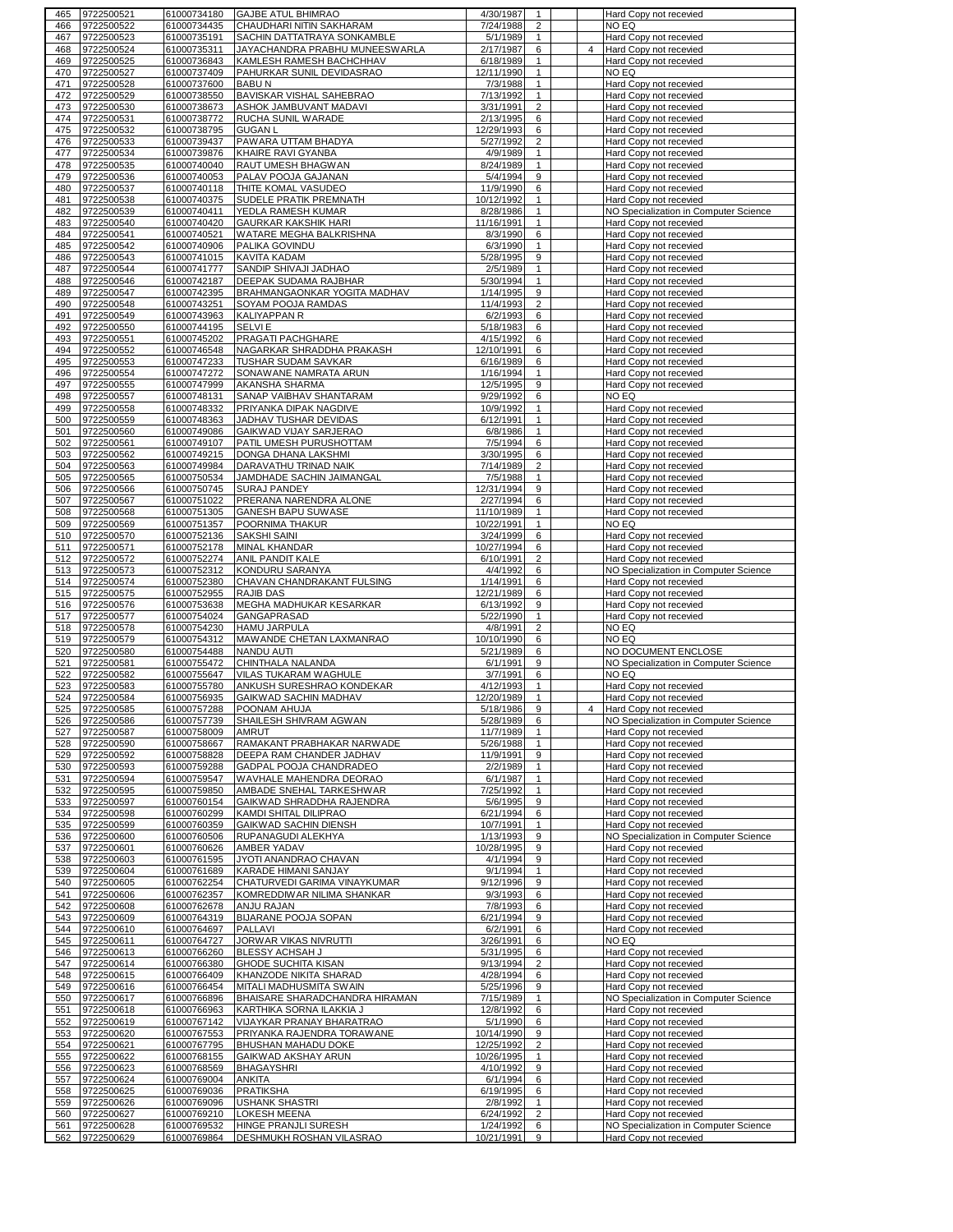| 465        | 9722500521               | 61000734180                | <b>GAJBE ATUL BHIMRAO</b>                               | 4/30/1987                         |                | Hard Copy not recevied                                          |
|------------|--------------------------|----------------------------|---------------------------------------------------------|-----------------------------------|----------------|-----------------------------------------------------------------|
| 466        | 9722500522               | 61000734435                | CHAUDHARI NITIN SAKHARAM                                | 7/24/1988<br>2                    |                | NO EQ                                                           |
| 467        | 9722500523               | 61000735191                | SACHIN DATTATRAYA SONKAMBLE                             | 5/1/1989<br>$\mathbf{1}$          |                | Hard Copy not recevied                                          |
| 468        | 9722500524               | 61000735311                | JAYACHANDRA PRABHU MUNEESWARLA                          | 2/17/1987<br>6                    | $\overline{4}$ | Hard Copy not recevied                                          |
| 469        | 9722500525               | 61000736843                | KAMLESH RAMESH BACHCHHAV                                | 6/18/1989<br>$\mathbf{1}$         |                | Hard Copy not recevied                                          |
|            |                          |                            |                                                         | $\mathbf{1}$                      |                |                                                                 |
| 470        | 9722500527               | 61000737409                | PAHURKAR SUNIL DEVIDASRAO                               | 12/11/1990                        |                | NO EQ                                                           |
| 471        | 9722500528               | 61000737600                | <b>BABUN</b>                                            | 7/3/1988<br>$\mathbf{1}$          |                | Hard Copy not recevied                                          |
| 472        | 9722500529               | 61000738550                | BAVISKAR VISHAL SAHEBRAO                                | 7/13/1992<br>1                    |                | Hard Copy not recevied                                          |
| 473        | 9722500530               | 61000738673                | ASHOK JAMBUVANT MADAVI                                  | $\overline{2}$<br>3/31/1991       |                | Hard Copy not recevied                                          |
| 474        | 9722500531               | 61000738772                | RUCHA SUNIL WARADE                                      | 2/13/1995<br>6                    |                | Hard Copy not recevied                                          |
| 475        | 9722500532               | 61000738795                | <b>GUGAN L</b>                                          | 12/29/1993<br>6                   |                | Hard Copy not recevied                                          |
| 476        | 9722500533               | 61000739437                | PAWARA UTTAM BHADYA                                     | 5/27/1992<br>$\overline{2}$       |                | Hard Copy not recevied                                          |
|            |                          |                            |                                                         |                                   |                |                                                                 |
| 477        | 9722500534               | 61000739876                | KHAIRE RAVI GYANBA                                      | 4/9/1989<br>$\mathbf{1}$          |                | Hard Copy not recevied                                          |
| 478        | 9722500535               | 61000740040                | RAUT UMESH BHAGWAN                                      | 8/24/1989<br>$\mathbf{1}$         |                | Hard Copy not recevied                                          |
| 479        | 9722500536               | 61000740053                | PALAV POOJA GAJANAN                                     | 5/4/1994<br>9                     |                | Hard Copy not recevied                                          |
| 480        | 9722500537               | 61000740118                | THITE KOMAL VASUDEO                                     | 11/9/1990<br>6                    |                | Hard Copy not recevied                                          |
| 481        | 9722500538               | 61000740375                | SUDELE PRATIK PREMNATH                                  | 10/12/1992<br>$\mathbf{1}$        |                | Hard Copy not recevied                                          |
| 482        | 9722500539               | 61000740411                | YEDLA RAMESH KUMAR                                      | 8/28/1986<br>$\mathbf{1}$         |                | NO Specialization in Computer Science                           |
|            |                          |                            | <b>GAURKAR KAKSHIK HARI</b>                             |                                   |                |                                                                 |
| 483        | 9722500540               | 61000740420                |                                                         | 11/16/1991<br>$\mathbf{1}$        |                | Hard Copy not recevied                                          |
| 484        | 9722500541               | 61000740521                | WATARE MEGHA BALKRISHNA                                 | 8/3/1990<br>6                     |                | Hard Copy not recevied                                          |
| 485        | 9722500542               | 61000740906                | PALIKA GOVINDU                                          | 6/3/1990<br>$\mathbf{1}$          |                | Hard Copy not recevied                                          |
| 486        | 9722500543               | 61000741015                | KAVITA KADAM                                            | 5/28/1995<br>9                    |                | Hard Copy not recevied                                          |
| 487        | 9722500544               | 61000741777                | SANDIP SHIVAJI JADHAO                                   | 2/5/1989<br>1                     |                | Hard Copy not recevied                                          |
| 488        | 9722500546               | 61000742187                | DEEPAK SUDAMA RAJBHAR                                   | 5/30/1994<br>1                    |                | Hard Copy not recevied                                          |
| 489        | 9722500547               | 61000742395                | BRAHMANGAONKAR YOGITA MADHAV                            | 1/14/1995<br>9                    |                |                                                                 |
|            |                          |                            |                                                         |                                   |                | Hard Copy not recevied                                          |
| 490        | 9722500548               | 61000743251                | SOYAM POOJA RAMDAS                                      | 11/4/1993<br>$\overline{2}$       |                | Hard Copy not recevied                                          |
| 491        | 9722500549               | 61000743963                | <b>KALIYAPPAN R</b>                                     | 6/2/1993<br>6                     |                | Hard Copy not recevied                                          |
| 492        | 9722500550               | 61000744195                | <b>SELVIE</b>                                           | 5/18/1983<br>6                    |                | Hard Copy not recevied                                          |
| 493        | 9722500551               | 61000745202                | PRAGATI PACHGHARE                                       | 4/15/1992<br>6                    |                | Hard Copy not recevied                                          |
| 494        | 9722500552               | 61000746548                | NAGARKAR SHRADDHA PRAKASH                               | 12/10/1991<br>6                   |                |                                                                 |
|            |                          |                            |                                                         |                                   |                | Hard Copy not recevied                                          |
| 495        | 9722500553               | 61000747233                | TUSHAR SUDAM SAVKAR                                     | 6/16/1989<br>6                    |                | Hard Copy not recevied                                          |
| 496        | 9722500554               | 61000747272                | SONAWANE NAMRATA ARUN                                   | 1/16/1994<br>$\mathbf{1}$         |                | Hard Copy not recevied                                          |
| 497        | 9722500555               | 61000747999                | AKANSHA SHARMA                                          | 12/5/1995<br>9                    |                | Hard Copy not recevied                                          |
| 498        | 9722500557               | 61000748131                | SANAP VAIBHAV SHANTARAM                                 | 9/29/1992<br>6                    |                | NO EQ                                                           |
|            |                          |                            |                                                         |                                   |                |                                                                 |
| 499        | 9722500558               | 61000748332                | PRIYANKA DIPAK NAGDIVE                                  | 10/9/1992<br>$\mathbf{1}$         |                | Hard Copy not recevied                                          |
| 500        | 9722500559               | 61000748363                | JADHAV TUSHAR DEVIDAS                                   | 6/12/1991<br>$\mathbf{1}$         |                | Hard Copy not recevied                                          |
| 501        | 9722500560               | 61000749086                | GAIKWAD VIJAY SARJERAO                                  | 6/8/1986<br>$\mathbf{1}$          |                | Hard Copy not recevied                                          |
| 502        | 9722500561               | 61000749107                | PATIL UMESH PURUSHOTTAM                                 | 7/5/1994<br>6                     |                | Hard Copy not recevied                                          |
| 503        | 9722500562               | 61000749215                | DONGA DHANA LAKSHMI                                     | 3/30/1995<br>6                    |                | Hard Copy not recevied                                          |
|            |                          |                            |                                                         |                                   |                |                                                                 |
| 504        | 9722500563               | 61000749984                | DARAVATHU TRINAD NAIK                                   | 7/14/1989<br>$\overline{2}$       |                | Hard Copy not recevied                                          |
| 505        | 9722500565               | 61000750534                | JAMDHADE SACHIN JAIMANGAL                               | 7/5/1988<br>$\mathbf{1}$          |                | Hard Copy not recevied                                          |
| 506        | 9722500566               | 61000750745                | <b>SURAJ PANDEY</b>                                     | 12/31/1994<br>9                   |                | Hard Copy not recevied                                          |
| 507        | 9722500567               | 61000751022                | PRERANA NARENDRA ALONE                                  | 2/27/1994<br>6                    |                | Hard Copy not recevied                                          |
| 508        | 9722500568               | 61000751305                | GANESH BAPU SUWASE                                      | 11/10/1989<br>$\mathbf{1}$        |                | Hard Copy not recevied                                          |
|            |                          |                            |                                                         |                                   |                |                                                                 |
| 509        | 9722500569               | 61000751357                | POORNIMA THAKUR                                         | 10/22/1991<br>$\mathbf{1}$        |                | NO EQ                                                           |
| 510        | 9722500570               | 61000752136                | <b>SAKSHI SAINI</b>                                     | 3/24/1999<br>6                    |                | Hard Copy not recevied                                          |
| 511        | 9722500571               | 61000752178                | MINAL KHANDAR                                           | 10/27/1994<br>6                   |                | Hard Copy not recevied                                          |
| 512        | 9722500572               | 61000752274                | ANIL PANDIT KALE                                        | 6/10/1991<br>$\overline{2}$       |                | Hard Copy not recevied                                          |
|            | 9722500573               |                            |                                                         |                                   |                |                                                                 |
| 513        |                          | 61000752312                | KONDURU SARANYA                                         | 4/4/1992<br>6                     |                | NO Specialization in Computer Science                           |
|            |                          |                            |                                                         |                                   |                |                                                                 |
| 514        | 9722500574               | 61000752380                | CHAVAN CHANDRAKANT FULSING                              | 1/14/1991<br>6                    |                | Hard Copy not recevied                                          |
| 515        | 9722500575               | 61000752955                | <b>RAJIB DAS</b>                                        | 12/21/1989<br>6                   |                | Hard Copy not recevied                                          |
| 516        |                          |                            |                                                         | 6/13/1992<br>9                    |                |                                                                 |
|            | 9722500576               | 61000753638                | MEGHA MADHUKAR KESARKAR                                 |                                   |                | Hard Copy not recevied                                          |
| 517        | 9722500577               | 61000754024                | GANGAPRASAD                                             | 5/22/1990<br>$\mathbf{1}$         |                | Hard Copy not recevied                                          |
| 518        | 9722500578               | 61000754230                | <b>HAMU JARPULA</b>                                     | 4/8/1991<br>2                     |                | NO EQ                                                           |
| 519        | 9722500579               | 61000754312                | MAWANDE CHETAN LAXMANRAO                                | 10/10/1990<br>6                   |                | NO EQ                                                           |
| 520        | 9722500580               | 61000754488                | NANDU AUTI                                              | 5/21/1989<br>6                    |                | NO DOCUMENT ENCLOSE                                             |
| 521        | 9722500581               | 61000755472                | CHINTHALA NALANDA                                       | 6/1/1991<br>9                     |                | NO Specialization in Computer Science                           |
|            |                          |                            |                                                         | 3/7/1991<br>6                     |                | NO EQ                                                           |
| 522        | 9722500582               | 61000755647                | VILAS TUKARAM WAGHULE                                   |                                   |                |                                                                 |
| 523        | 9722500583               | 61000755780                | ANKUSH SURESHRAO KONDEKAR                               | 4/12/1993<br>$\mathbf{1}$         |                | Hard Copy not recevied                                          |
| 524        | 9722500584               | 61000756935                | GAIKWAD SACHIN MADHAV                                   | 12/20/1989<br>$\mathbf{1}$        |                | Hard Copy not recevied                                          |
| 525        | 9722500585               | 61000757288                | POONAM AHUJA                                            | 5/18/1986<br>$\mathbf{q}$         | $\overline{4}$ | Hard Copy not recevied                                          |
| 526        | 9722500586               | 61000757739                | SHAILESH SHIVRAM AGWAN                                  | 5/28/1989<br>6                    |                | NO Specialization in Computer Science                           |
| 527        | 9722500587               | 61000758009                | AMRUT                                                   | 11/7/1989<br>$\mathbf{1}$         |                | Hard Copy not recevied                                          |
|            |                          |                            |                                                         | $\mathbf{1}$                      |                | Hard Copy not recevied                                          |
| 528        | 9722500590               | 61000758667                | RAMAKANT PRABHAKAR NARWADE                              | 5/26/1988                         |                |                                                                 |
| 529        | 9722500592               | 61000758828                | DEEPA RAM CHANDER JADHAV                                | 11/9/1991<br>9                    |                | Hard Copy not recevied                                          |
| 530        | 9722500593               | 61000759288                | GADPAL POOJA CHANDRADEO                                 | 2/2/1989<br>$\mathbf{1}$          |                | Hard Copy not recevied                                          |
| 531        | 9722500594               | 61000759547                | WAVHALE MAHENDRA DEORAO                                 | 6/1/1987<br>$\mathbf{1}$          |                | Hard Copy not recevied                                          |
| 532        | 9722500595               | 61000759850                | AMBADE SNEHAL TARKESHWAR                                | 7/25/1992<br>$\mathbf{1}$         |                | Hard Copy not recevied                                          |
| 533        | 9722500597               | 61000760154                | GAIKWAD SHRADDHA RAJENDRA                               | 5/6/1995<br>9                     |                | Hard Copy not recevied                                          |
| 534        | 9722500598               | 61000760299                | KAMDI SHITAL DILIPRAO                                   | 6/21/1994<br>6                    |                | Hard Copy not recevied                                          |
|            |                          |                            |                                                         |                                   |                |                                                                 |
| 535        | 9722500599               | 61000760359                | <b>GAIKWAD SACHIN DIENSH</b>                            | 10/7/1991<br>$\mathbf{1}$         |                | Hard Copy not recevied                                          |
| 536        | 9722500600               | 61000760506                | RUPANAGUDI ALEKHYA                                      | 9<br>1/13/1993                    |                | NO Specialization in Computer Science                           |
| 537        | 9722500601               | 61000760626                | AMBER YADAV                                             | 10/28/1995<br>9                   |                | Hard Copy not recevied                                          |
| 538        | 9722500603               | 61000761595                | JYOTI ANANDRAO CHAVAN                                   | 4/1/1994<br>9                     |                | Hard Copy not recevied                                          |
| 539        | 9722500604               | 61000761689                | KARADE HIMANI SANJAY                                    | 9/1/1994<br>1                     |                | Hard Copy not recevied                                          |
| 540        | 9722500605               |                            |                                                         | 9                                 |                |                                                                 |
|            |                          | 61000762254                | CHATURVEDI GARIMA VINAYKUMAR                            | 9/12/1996                         |                | <b>Hard Copy not recevied</b>                                   |
| 541        | 9722500606               | 61000762357                | KOMREDDIWAR NILIMA SHANKAR                              | 9/3/1993<br>6                     |                | Hard Copy not recevied                                          |
| 542        | 9722500608               | 61000762678                | ANJU RAJAN                                              | 7/8/1993<br>6                     |                | Hard Copy not recevied                                          |
| 543        | 9722500609               | 61000764319                | <b>BIJARANE POOJA SOPAN</b>                             | 6/21/1994<br>9                    |                | Hard Copy not recevied                                          |
| 544        | 9722500610               | 61000764697                | PALLAVI                                                 | 6/2/1991<br>6                     |                | Hard Copy not recevied                                          |
| 545        | 9722500611               | 61000764727                | JORWAR VIKAS NIVRUTTI                                   | 3/26/1991<br>6                    |                | NO EQ                                                           |
|            |                          |                            |                                                         |                                   |                |                                                                 |
| 546        | 9722500613               | 61000766260                | BLESSY ACHSAH J                                         | 5/31/1995<br>6                    |                | Hard Copy not recevied                                          |
| 547        | 9722500614               | 61000766380                | <b>GHODE SUCHITA KISAN</b>                              | 9/13/1994<br>$\overline{2}$       |                | Hard Copy not recevied                                          |
| 548        | 9722500615               | 61000766409                | KHANZODE NIKITA SHARAD                                  | 4/28/1994<br>6                    |                | Hard Copy not recevied                                          |
| 549        | 9722500616               | 61000766454                | MITALI MADHUSMITA SWAIN                                 | 5/25/1996<br>9                    |                | Hard Copy not recevied                                          |
| 550        | 9722500617               | 61000766896                | BHAISARE SHARADCHANDRA HIRAMAN                          | 7/15/1989<br>$\mathbf{1}$         |                | NO Specialization in Computer Science                           |
|            |                          |                            |                                                         |                                   |                |                                                                 |
| 551        | 9722500618               | 61000766963                | KARTHIKA SORNA ILAKKIA J                                | 12/8/1992<br>6                    |                | Hard Copy not recevied                                          |
| 552        | 9722500619               | 61000767142                | VIJAYKAR PRANAY BHARATRAO                               | 5/1/1990<br>6                     |                | Hard Copy not recevied                                          |
| 553        | 9722500620               | 61000767553                | PRIYANKA RAJENDRA TORAWANE                              | 10/14/1990<br>9                   |                | Hard Copy not recevied                                          |
| 554        | 9722500621               | 61000767795                | BHUSHAN MAHADU DOKE                                     | 12/25/1992<br>$\overline{2}$      |                | Hard Copy not recevied                                          |
|            |                          |                            |                                                         | $\mathbf{1}$                      |                |                                                                 |
| 555        | 9722500622               | 61000768155                | GAIKWAD AKSHAY ARUN                                     | 10/26/1995                        |                | Hard Copy not recevied                                          |
| 556        | 9722500623               | 61000768569                | <b>BHAGAYSHRI</b>                                       | 4/10/1992<br>9                    |                | Hard Copy not recevied                                          |
| 557        | 9722500624               | 61000769004                | <b>ANKITA</b>                                           | 6/1/1994<br>6                     |                | Hard Copy not recevied                                          |
| 558        | 9722500625               | 61000769036                | PRATIKSHA                                               | 6/19/1995<br>6                    |                | Hard Copy not recevied                                          |
| 559        | 9722500626               | 61000769096                | <b>USHANK SHASTRI</b>                                   | 2/8/1992<br>$\mathbf{1}$          |                | Hard Copy not recevied                                          |
|            |                          |                            |                                                         |                                   |                |                                                                 |
| 560        | 9722500627               | 61000769210                | LOKESH MEENA                                            | 6/24/1992<br>$\overline{2}$       |                | Hard Copy not recevied                                          |
| 561<br>562 | 9722500628<br>9722500629 | 61000769532<br>61000769864 | <b>HINGE PRANJLI SURESH</b><br>DESHMUKH ROSHAN VILASRAO | 1/24/1992<br>6<br>10/21/1991<br>9 |                | NO Specialization in Computer Science<br>Hard Copy not recevied |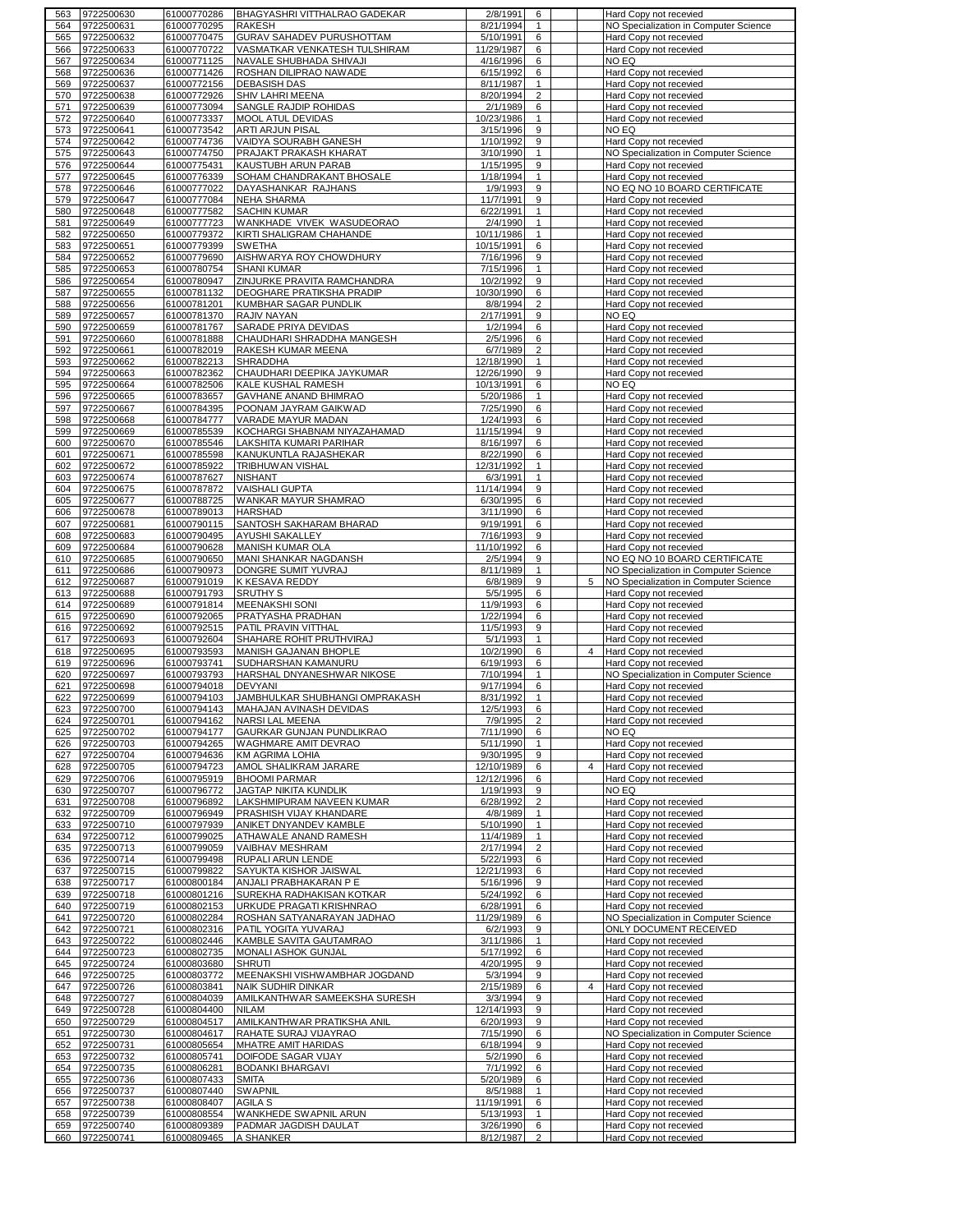| 563        | 9722500630               | 61000770286                | BHAGYASHRI VITTHALRAO GADEKAR      | 2/8/1991               | 6                   |                | Hard Copy not recevied                           |
|------------|--------------------------|----------------------------|------------------------------------|------------------------|---------------------|----------------|--------------------------------------------------|
| 564        | 9722500631               | 61000770295                | <b>RAKESH</b>                      | 8/21/1994              | $\mathbf{1}$        |                | NO Specialization in Computer Science            |
| 565        | 9722500632               | 61000770475                | <b>GURAV SAHADEV PURUSHOTTAM</b>   | 5/10/1991              | 6                   |                | Hard Copy not recevied                           |
| 566        | 9722500633               | 61000770722                | VASMATKAR VENKATESH TULSHIRAM      | 11/29/1987             | 6                   |                | Hard Copy not recevied                           |
| 567        | 9722500634               | 61000771125                | NAVALE SHUBHADA SHIVAJI            | 4/16/1996              | 6                   |                | NO EQ                                            |
| 568        | 9722500636               | 61000771426                | ROSHAN DILIPRAO NAWADE             | 6/15/1992              | 6                   |                | Hard Copy not recevied                           |
|            | 9722500637               |                            |                                    |                        | $\mathbf{1}$        |                |                                                  |
| 569        |                          | 61000772156                | <b>DEBASISH DAS</b>                | 8/11/1987              |                     |                | Hard Copy not recevied                           |
| 570        | 9722500638               | 61000772926                | SHIV LAHRI MEENA                   | 8/20/1994              | $\overline{2}$      |                | Hard Copy not recevied                           |
| 571        | 9722500639               | 61000773094                | SANGLE RAJDIP ROHIDAS              | 2/1/1989               | 6                   |                | Hard Copy not recevied                           |
| 572        | 9722500640               | 61000773337                | MOOL ATUL DEVIDAS                  | 10/23/1986             | 1                   |                | Hard Copy not recevied                           |
| 573        | 9722500641               | 61000773542                | ARTI ARJUN PISAL                   | 3/15/1996              | 9                   |                | NO EQ                                            |
| 574        | 9722500642               | 61000774736                | VAIDYA SOURABH GANESH              | 1/10/1992              | 9                   |                | Hard Copy not recevied                           |
| 575        | 9722500643               | 61000774750                | PRAJAKT PRAKASH KHARAT             | 3/10/1990              | $\mathbf{1}$        |                | NO Specialization in Computer Science            |
| 576        | 9722500644               | 61000775431                | KAUSTUBH ARUN PARAB                | 1/15/1995              | 9                   |                | Hard Copy not recevied                           |
| 577        | 9722500645               | 61000776339                | SOHAM CHANDRAKANT BHOSALE          | 1/18/1994              | $\mathbf{1}$        |                | Hard Copy not recevied                           |
| 578        | 9722500646               | 61000777022                | DAYASHANKAR RAJHANS                | 1/9/1993               | 9                   |                | NO EQ NO 10 BOARD CERTIFICATE                    |
| 579        | 9722500647               | 61000777084                | <b>NEHA SHARMA</b>                 | 11/7/1991              | 9                   |                | Hard Copy not recevied                           |
|            |                          |                            |                                    |                        | $\mathbf{1}$        |                |                                                  |
| 580        | 9722500648               | 61000777582                | <b>SACHIN KUMAR</b>                | 6/22/1991              |                     |                | Hard Copy not recevied                           |
| 581        | 9722500649               | 61000777723                | WANKHADE VIVEK WASUDEORAO          | 2/4/1990               | $\mathbf{1}$        |                | Hard Copy not recevied                           |
| 582        | 9722500650               | 61000779372                | KIRTI SHALIGRAM CHAHANDE           | 10/11/1986             | $\mathbf{1}$        |                | Hard Copy not recevied                           |
| 583        | 9722500651               | 61000779399                | <b>SWETHA</b>                      | 10/15/1991             | 6                   |                | Hard Copy not recevied                           |
| 584        | 9722500652               | 61000779690                | AISHWARYA ROY CHOWDHURY            | 7/16/1996              | 9                   |                | Hard Copy not recevied                           |
| 585        | 9722500653               | 61000780754                | <b>SHANI KUMAR</b>                 | 7/15/1996              | $\mathbf{1}$        |                | Hard Copy not recevied                           |
| 586        | 9722500654               | 61000780947                | ZINJURKE PRAVITA RAMCHANDRA        | 10/2/1992              | 9                   |                | Hard Copy not recevied                           |
| 587        | 9722500655               | 61000781132                | <b>DEOGHARE PRATIKSHA PRADIP</b>   | 10/30/1990             | 6                   |                | Hard Copy not recevied                           |
| 588        | 9722500656               | 61000781201                | KUMBHAR SAGAR PUNDLIK              | 8/8/1994               | $\overline{2}$      |                | Hard Copy not recevied                           |
| 589        | 9722500657               | 61000781370                | RAJIV NAYAN                        | 2/17/1991              | 9                   |                | NO EQ                                            |
| 590        | 9722500659               | 61000781767                | SARADE PRIYA DEVIDAS               | 1/2/1994               | 6                   |                | Hard Copy not recevied                           |
| 591        | 9722500660               | 61000781888                | CHAUDHARI SHRADDHA MANGESH         | 2/5/1996               | 6                   |                | Hard Copy not recevied                           |
|            |                          | 61000782019                |                                    |                        | $\overline{2}$      |                |                                                  |
| 592        | 9722500661               |                            | RAKESH KUMAR MEENA                 | 6/7/1989               |                     |                | Hard Copy not recevied                           |
| 593        | 9722500662               | 61000782213                | <b>SHRADDHA</b>                    | 12/18/1990             | 1                   |                | Hard Copy not recevied                           |
| 594        | 9722500663               | 61000782362                | CHAUDHARI DEEPIKA JAYKUMAR         | 12/26/1990             | 9                   |                | Hard Copy not recevied                           |
| 595        | 9722500664               | 61000782506                | KALE KUSHAL RAMESH                 | 10/13/1991             | 6                   |                | NO EQ                                            |
| 596        | 9722500665               | 61000783657                | GAVHANE ANAND BHIMRAO              | 5/20/1986              | $\mathbf{1}$        |                | Hard Copy not recevied                           |
| 597        | 9722500667               | 61000784395                | POONAM JAYRAM GAIKWAD              | 7/25/1990              | 6                   |                | Hard Copy not recevied                           |
| 598        | 9722500668               | 61000784777                | VARADE MAYUR MADAN                 | 1/24/1993              | 6                   |                | Hard Copy not recevied                           |
| 599        | 9722500669               | 61000785539                | KOCHARGI SHABNAM NIYAZAHAMAD       | 11/15/1994             | 9                   |                | Hard Copy not recevied                           |
| 600        | 9722500670               | 61000785546                | LAKSHITA KUMARI PARIHAR            | 8/16/1997              | 6                   |                | Hard Copy not recevied                           |
| 601        | 9722500671               | 61000785598                | KANUKUNTLA RAJASHEKAR              | 8/22/1990              | 6                   |                | Hard Copy not recevied                           |
| 602        | 9722500672               | 61000785922                | <b>TRIBHUWAN VISHAL</b>            | 12/31/1992             | $\mathbf{1}$        |                | Hard Copy not recevied                           |
|            |                          |                            |                                    |                        |                     |                |                                                  |
| 603        | 9722500674               | 61000787627                | <b>NISHANT</b>                     | 6/3/1991               | 1                   |                | Hard Copy not recevied                           |
| 604        | 9722500675               | 61000787872                | <b>VAISHALI GUPTA</b>              | 11/14/1994             | 9                   |                | Hard Copy not recevied                           |
| 605        | 9722500677               | 61000788725                | WANKAR MAYUR SHAMRAO               | 6/30/1995              | 6                   |                | Hard Copy not recevied                           |
| 606        | 9722500678               | 61000789013                | <b>HARSHAD</b>                     | 3/11/1990              | 6                   |                | Hard Copy not recevied                           |
| 607        | 9722500681               | 61000790115                | SANTOSH SAKHARAM BHARAD            | 9/19/1991              | 6                   |                | Hard Copy not recevied                           |
| 608        | 9722500683               | 61000790495                | AYUSHI SAKALLEY                    | 7/16/1993              | 9                   |                | Hard Copy not recevied                           |
| 609        | 9722500684               | 61000790628                | MANISH KUMAR OLA                   | 11/10/1992             | 6                   |                | Hard Copy not recevied                           |
| 610        | 9722500685               | 61000790650                | MANI SHANKAR NAGDANSH              | 2/5/1994               | 9                   |                | NO EQ NO 10 BOARD CERTIFICATE                    |
| 611        | 9722500686               | 61000790973                | DONGRE SUMIT YUVRAJ                | 8/11/1989              | $\mathbf{1}$        |                | NO Specialization in Computer Science            |
|            |                          |                            |                                    |                        |                     |                | NO Specialization in Computer Science            |
|            |                          |                            |                                    |                        |                     |                |                                                  |
| 612        | 9722500687               | 61000791019                | K KESAVA REDDY                     | 6/8/1989               | 9                   | 5              |                                                  |
| 613        | 9722500688               | 61000791793                | <b>SRUTHY S</b>                    | 5/5/1995               | 6                   |                | Hard Copy not recevied                           |
| 614        | 9722500689               | 61000791814                | <b>MEENAKSHI SONI</b>              | 11/9/1993              | 6                   |                | Hard Copy not recevied                           |
| 615        | 9722500690               | 61000792065                | PRATYASHA PRADHAN                  | 1/22/1994              | 6                   |                | Hard Copy not recevied                           |
| 616        | 9722500692               | 61000792515                | PATIL PRAVIN VITTHAL               | 11/5/1993              | 9                   |                | Hard Copy not recevied                           |
| 617        | 9722500693               | 61000792604                | SHAHARE ROHIT PRUTHVIRAJ           | 5/1/1993               | $\mathbf{1}$        |                | Hard Copy not recevied                           |
| 618        | 9722500695               | 61000793593                | MANISH GAJANAN BHOPLE              | 10/2/1990              | 6                   | 4              | Hard Copy not recevied                           |
| 619        | 9722500696               | 61000793741                | SUDHARSHAN KAMANURU                | 6/19/1993              | 6                   |                | Hard Copy not recevied                           |
| 620        | 9722500697               | 61000793793                | HARSHAL DNYANESHWAR NIKOSE         | 7/10/1994              | 1                   |                | NO Specialization in Computer Science            |
|            |                          |                            | <b>DEVYANI</b>                     |                        | 6                   |                |                                                  |
| 621        | 9722500698               | 61000794018                |                                    | 9/17/1994              |                     |                | Hard Copy not recevied                           |
| 622        | 9722500699               | 61000794103                | JAMBHULKAR SHUBHANGI OMPRAKASH     | 8/31/1992              | $\mathbf{1}$        |                | Hard Copy not recevied                           |
| 623        | 9722500700               | 61000794143                | MAHAJAN AVINASH DEVIDAS            | 12/5/1993              | 6                   |                | Hard Copy not recevied                           |
| 624        | 9722500701               | 61000794162                | NARSI LAL MEENA                    | 7/9/1995               | $\overline{2}$      |                | Hard Copy not recevied                           |
| 625        | 9722500702               | 61000794177                | GAURKAR GUNJAN PUNDLIKRAO          | 7/11/1990              | 6                   |                | NO EQ                                            |
| 626        | 9722500703               | 61000794265                | WAGHMARE AMIT DEVRAO               | 5/11/1990              | $\mathbf{1}$        |                | Hard Copy not recevied                           |
| 627        | 9722500704               | 61000794636                | <b>KM AGRIMA LOHIA</b>             | 9/30/1995              | 9                   |                | Hard Copy not recevied                           |
| 628        | 9722500705               | 61000794723                | AMOL SHALIKRAM JARARE              | 12/10/1989             | 6                   | $\overline{4}$ | Hard Copy not recevied                           |
| 629        | 9722500706               | 61000795919                | <b>BHOOMI PARMAR</b>               | 12/12/1996             | 6                   |                | Hard Copy not recevied                           |
| 630        | 9722500707               | 61000796772                | JAGTAP NIKITA KUNDLIK              | 1/19/1993              | 9                   |                | NO EQ                                            |
| 631        | 9722500708               | 61000796892                | LAKSHMIPURAM NAVEEN KUMAR          | 6/28/1992              | $\overline{2}$      |                | Hard Copy not recevied                           |
| 632        | 9722500709               | 61000796949                | PRASHISH VIJAY KHANDARE            | 4/8/1989               | $\mathbf{1}$        |                | Hard Copy not recevied                           |
| 633        | 9722500710               | 61000797939                | ANIKET DNYANDEV KAMBLE             | 5/10/1990              | $\mathbf{1}$        |                | Hard Copy not recevied                           |
| 634        | 9722500712               | 61000799025                | ATHAWALE ANAND RAMESH              | 11/4/1989              | $\mathbf{1}$        |                | Hard Copy not recevied                           |
| 635        | 9722500713               | 61000799059                | VAIBHAV MESHRAM                    | 2/17/1994              | $\overline{2}$      |                | Hard Copy not recevied                           |
|            |                          |                            |                                    |                        |                     |                |                                                  |
| 636        | 9722500714               | 61000799498                | RUPALI ARUN LENDE                  | 5/22/1993              | 6                   |                | Hard Copy not recevied                           |
| 637        | 9722500715               | 61000799822                | SAYUKTA KISHOR JAISWAL             | 12/21/1993             | 6                   |                | Hard Copy not recevied                           |
| 638        | 9722500717               | 61000800184                | ANJALI PRABHAKARAN P E             | 5/16/1996              | 9                   |                | Hard Copy not recevied                           |
| 639        | 9722500718               | 61000801216                | SUREKHA RADHAKISAN KOTKAR          | 5/24/1992              | 6                   |                | Hard Copy not recevied                           |
| 640        | 9722500719               | 61000802153                | URKUDE PRAGATI KRISHNRAO           | 6/28/1991              | 6                   |                | Hard Copy not recevied                           |
| 641        | 9722500720               | 61000802284                | ROSHAN SATYANARAYAN JADHAO         | 11/29/1989             | 6                   |                | NO Specialization in Computer Science            |
| 642        | 9722500721               | 61000802316                | PATIL YOGITA YUVARAJ               | 6/2/1993               | 9                   |                | ONLY DOCUMENT RECEIVED                           |
| 643        | 9722500722               | 61000802446                | KAMBLE SAVITA GAUTAMRAO            | 3/11/1986              | 1                   |                | Hard Copy not recevied                           |
| 644        | 9722500723               | 61000802735                | MONALI ASHOK GUNJAL                | 5/17/1992              | 6                   |                | Hard Copy not recevied                           |
| 645        | 9722500724               | 61000803680                | <b>SHRUTI</b>                      | 4/20/1995              | 9                   |                | Hard Copy not recevied                           |
| 646        | 9722500725               | 61000803772                | MEENAKSHI VISHWAMBHAR JOGDAND      | 5/3/1994               | 9                   |                | Hard Copy not recevied                           |
| 647        | 9722500726               | 61000803841                | <b>NAIK SUDHIR DINKAR</b>          | 2/15/1989              | 6                   | 4              | Hard Copy not recevied                           |
|            | 9722500727               | 61000804039                |                                    | 3/3/1994               | 9                   |                |                                                  |
| 648        |                          |                            | AMILKANTHWAR SAMEEKSHA SURESH      |                        |                     |                | Hard Copy not recevied                           |
| 649        | 9722500728               | 61000804400                | <b>NILAM</b>                       | 12/14/1993             | 9                   |                | Hard Copy not recevied                           |
| 650        | 9722500729               | 61000804517                | AMILKANTHWAR PRATIKSHA ANIL        | 6/20/1993              | 9                   |                | Hard Copy not recevied                           |
| 651        | 9722500730               | 61000804617                | RAHATE SURAJ VIJAYRAO              | 7/15/1990              | 6                   |                | NO Specialization in Computer Science            |
| 652        | 9722500731               | 61000805654                | MHATRE AMIT HARIDAS                | 6/18/1994              | 9                   |                | Hard Copy not recevied                           |
| 653        | 9722500732               | 61000805741                | DOIFODE SAGAR VIJAY                | 5/2/1990               | 6                   |                | Hard Copy not recevied                           |
| 654        | 9722500735               | 61000806281                | <b>BODANKI BHARGAVI</b>            | 7/1/1992               | 6                   |                | Hard Copy not recevied                           |
| 655        | 9722500736               | 61000807433                | <b>SMITA</b>                       | 5/20/1989              | 6                   |                | Hard Copy not recevied                           |
| 656        | 9722500737               | 61000807440                | <b>SWAPNIL</b>                     | 8/5/1988               | $\mathbf{1}$        |                | Hard Copy not recevied                           |
| 657        | 9722500738               | 61000808407                | AGILA S                            | 11/19/1991             | 6                   |                | Hard Copy not recevied                           |
|            |                          | 61000808554                |                                    |                        | $\mathbf{1}$        |                |                                                  |
| 658        | 9722500739               |                            | WANKHEDE SWAPNIL ARUN              | 5/13/1993              |                     |                | Hard Copy not recevied                           |
| 659<br>660 | 9722500740<br>9722500741 | 61000809389<br>61000809465 | PADMAR JAGDISH DAULAT<br>A SHANKER | 3/26/1990<br>8/12/1987 | 6<br>$\overline{2}$ |                | Hard Copy not recevied<br>Hard Copy not recevied |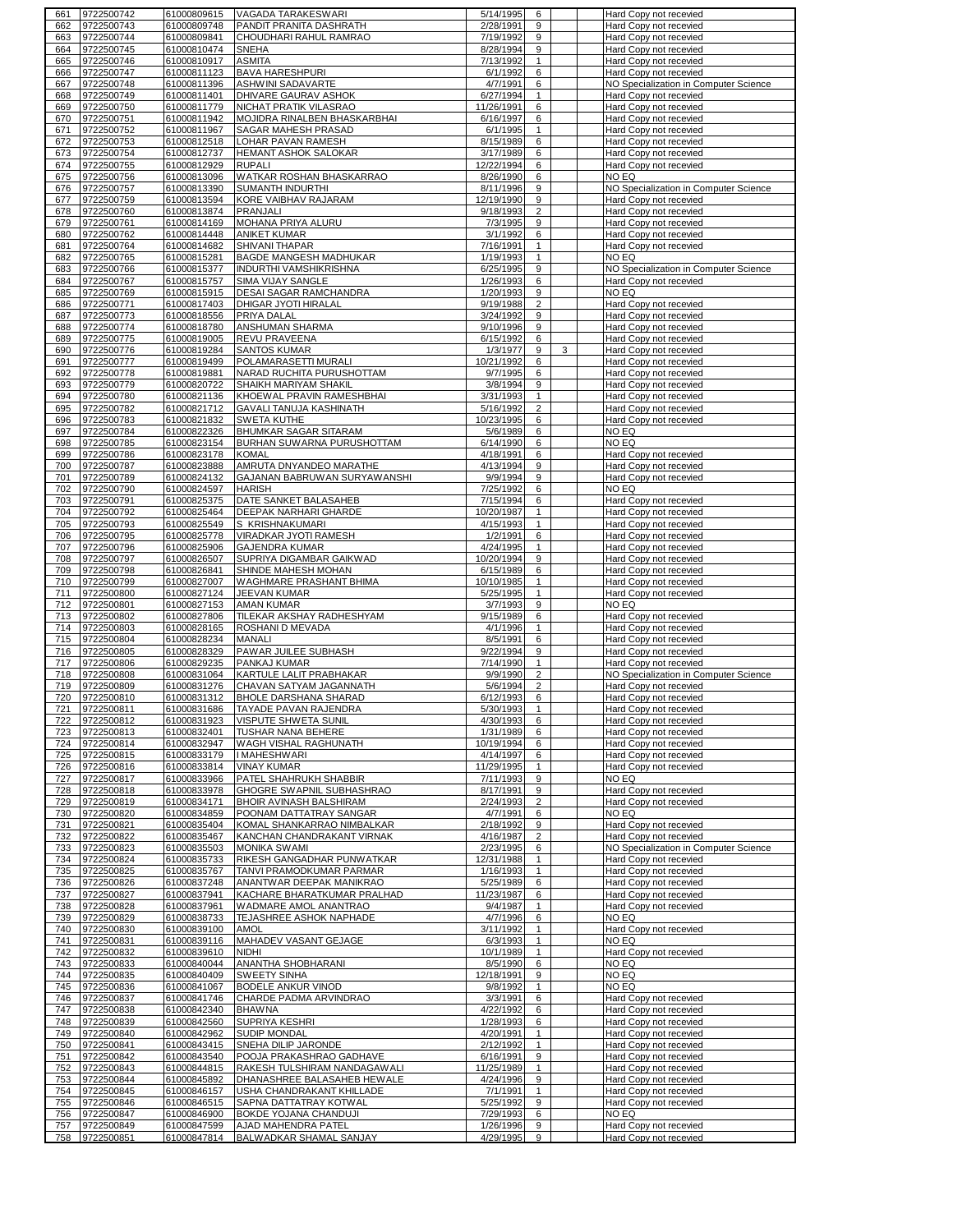| 661        | 9722500742               | 61000809615                | VAGADA TARAKESWARI                             | 5/14/1995              | 6              | Hard Copy not recevied                           |
|------------|--------------------------|----------------------------|------------------------------------------------|------------------------|----------------|--------------------------------------------------|
| 662        | 9722500743               | 61000809748                | PANDIT PRANITA DASHRATH                        | 2/28/1991              | 9              | Hard Copy not recevied                           |
| 663        | 9722500744               | 61000809841                | CHOUDHARI RAHUL RAMRAO                         | 7/19/1992              | 9              | Hard Copy not recevied                           |
| 664        | 9722500745               | 61000810474                | <b>SNEHA</b>                                   | 8/28/1994              | 9              | Hard Copy not recevied                           |
| 665        | 9722500746               | 61000810917                | <b>ASMITA</b>                                  | 7/13/1992              | $\mathbf{1}$   | Hard Copy not recevied                           |
|            |                          |                            |                                                |                        |                |                                                  |
| 666        | 9722500747               | 61000811123                | <b>BAVA HARESHPURI</b>                         | 6/1/1992               | 6              | Hard Copy not recevied                           |
| 667        | 9722500748               | 61000811396                | ASHWINI SADAVARTE                              | 4/7/1991               | 6              | NO Specialization in Computer Science            |
| 668        | 9722500749               | 61000811401                | DHIVARE GAURAV ASHOK                           | 6/27/1994              | 1              | Hard Copy not recevied                           |
| 669        | 9722500750               | 61000811779                | NICHAT PRATIK VILASRAO                         | 11/26/1991             | 6              | Hard Copy not recevied                           |
| 670        | 9722500751               | 61000811942                | MOJIDRA RINALBEN BHASKARBHAI                   | 6/16/1997              | 6              | Hard Copy not recevied                           |
| 671        | 9722500752               | 61000811967                | SAGAR MAHESH PRASAD                            | 6/1/1995               | $\mathbf{1}$   | Hard Copy not recevied                           |
|            |                          |                            |                                                |                        |                |                                                  |
| 672        | 9722500753               | 61000812518                | LOHAR PAVAN RAMESH                             | 8/15/1989              | 6              | Hard Copy not recevied                           |
| 673        | 9722500754               | 61000812737                | HEMANT ASHOK SALOKAR                           | 3/17/1989              | 6              | Hard Copy not recevied                           |
| 674        | 9722500755               | 61000812929                | <b>RUPALI</b>                                  | 12/22/1994             | 6              | Hard Copy not recevied                           |
| 675        | 9722500756               | 61000813096                | WATKAR ROSHAN BHASKARRAO                       | 8/26/1990              | 6              | NO EQ                                            |
| 676        | 9722500757               | 61000813390                | SUMANTH INDURTHI                               | 8/11/1996              | 9              | NO Specialization in Computer Science            |
|            |                          |                            | KORE VAIBHAV RAJARAM                           |                        | 9              |                                                  |
| 677        | 9722500759               | 61000813594                |                                                | 12/19/1990             |                | Hard Copy not recevied                           |
| 678        | 9722500760               | 61000813874                | <b>PRANJALI</b>                                | 9/18/1993              | $\overline{2}$ | Hard Copy not recevied                           |
| 679        | 9722500761               | 61000814169                | <b>MOHANA PRIYA ALURU</b>                      | 7/3/1995               | 9              | Hard Copy not recevied                           |
| 680        | 9722500762               | 61000814448                | ANIKET KUMAR                                   | 3/1/1992               | 6              | Hard Copy not recevied                           |
| 681        | 9722500764               | 61000814682                | SHIVANI THAPAR                                 | 7/16/1991              | $\mathbf{1}$   | Hard Copy not recevied                           |
| 682        | 9722500765               | 61000815281                | BAGDE MANGESH MADHUKAR                         | 1/19/1993              | $\mathbf{1}$   | NO EQ                                            |
| 683        | 9722500766               |                            | INDURTHI VAMSHIKRISHNA                         | 6/25/1995              | 9              | NO Specialization in Computer Science            |
|            |                          | 61000815377                |                                                |                        |                |                                                  |
| 684        | 9722500767               | 61000815757                | SIMA VIJAY SANGLE                              | 1/26/1993              | 6              | Hard Copy not recevied                           |
| 685        | 9722500769               | 61000815915                | DESAI SAGAR RAMCHANDRA                         | 1/20/1993              | 9              | NO EQ                                            |
| 686        | 9722500771               | 61000817403                | DHIGAR JYOTI HIRALAL                           | 9/19/1988              | $\overline{2}$ | Hard Copy not recevied                           |
| 687        | 9722500773               | 61000818556                | PRIYA DALAL                                    | 3/24/1992              | 9              | Hard Copy not recevied                           |
| 688        | 9722500774               | 61000818780                | ANSHUMAN SHARMA                                | 9/10/1996              | 9              | Hard Copy not recevied                           |
|            |                          |                            |                                                |                        |                |                                                  |
| 689        | 9722500775               | 61000819005                | REVU PRAVEENA                                  | 6/15/1992              | 6              | Hard Copy not recevied                           |
| 690        | 9722500776               | 61000819284                | <b>SANTOS KUMAR</b>                            | 1/3/1977               | 9<br>3         | Hard Copy not recevied                           |
| 691        | 9722500777               | 61000819499                | POLAMARASETTI MURALI                           | 10/21/1992             | 6              | Hard Copy not recevied                           |
| 692        | 9722500778               | 61000819881                | NARAD RUCHITA PURUSHOTTAM                      | 9/7/1995               | 6              | Hard Copy not recevied                           |
| 693        | 9722500779               | 61000820722                | SHAIKH MARIYAM SHAKIL                          | 3/8/1994               | 9              | Hard Copy not recevied                           |
| 694        | 9722500780               | 61000821136                | KHOEWAL PRAVIN RAMESHBHAI                      | 3/31/1993              | $\mathbf{1}$   | Hard Copy not recevied                           |
|            |                          |                            |                                                |                        |                |                                                  |
| 695        | 9722500782               | 61000821712                | GAVALI TANUJA KASHINATH                        | 5/16/1992              | $\overline{c}$ | Hard Copy not recevied                           |
| 696        | 9722500783               | 61000821832                | SWETA KUTHE                                    | 10/23/1995             | 6              | Hard Copy not recevied                           |
| 697        | 9722500784               | 61000822326                | <b>BHUMKAR SAGAR SITARAM</b>                   | 5/6/1989               | 6              | NO EQ                                            |
| 698        | 9722500785               | 61000823154                | BURHAN SUWARNA PURUSHOTTAM                     | 6/14/1990              | 6              | NO EQ                                            |
| 699        | 9722500786               | 61000823178                | <b>KOMAL</b>                                   | 4/18/1991              | 6              | Hard Copy not recevied                           |
|            |                          |                            | <b>AMRUTA DNYANDEO MARATHE</b>                 | 4/13/1994              | 9              |                                                  |
| 700        | 9722500787               | 61000823888                |                                                |                        |                | Hard Copy not recevied                           |
| 701        | 9722500789               | 61000824132                | GAJANAN BABRUWAN SURYAWANSHI                   | 9/9/1994               | 9              | Hard Copy not recevied                           |
| 702        | 9722500790               | 61000824597                | <b>HARISH</b>                                  | 7/25/1992              | 6              | NO EQ                                            |
| 703        | 9722500791               | 61000825375                | DATE SANKET BALASAHEB                          | 7/15/1994              | 6              | Hard Copy not recevied                           |
| 704        | 9722500792               | 61000825464                | DEEPAK NARHARI GHARDE                          | 10/20/1987             | $\mathbf{1}$   | Hard Copy not recevied                           |
| 705        | 9722500793               | 61000825549                | S KRISHNAKUMARI                                | 4/15/1993              | $\mathbf{1}$   | Hard Copy not recevied                           |
| 706        | 9722500795               | 61000825778                | VIRADKAR JYOTI RAMESH                          | 1/2/1991               | 6              | Hard Copy not recevied                           |
|            |                          |                            |                                                |                        |                |                                                  |
| 707        | 9722500796               | 61000825906                | <b>GAJENDRA KUMAR</b>                          | 4/24/1995              | $\mathbf{1}$   | Hard Copy not recevied                           |
| 708        | 9722500797               | 61000826507                | SUPRIYA DIGAMBAR GAIKWAD                       | 10/20/1994             | 9              | Hard Copy not recevied                           |
| 709        | 9722500798               | 61000826841                | SHINDE MAHESH MOHAN                            | 6/15/1989              | 6              | Hard Copy not recevied                           |
|            |                          |                            |                                                |                        |                |                                                  |
| 710        | 9722500799               | 61000827007                | WAGHMARE PRASHANT BHIMA                        | 10/10/1985             | 1              | Hard Copy not recevied                           |
|            |                          |                            |                                                |                        | $\mathbf{1}$   |                                                  |
| 711        | 9722500800               | 61000827124                | JEEVAN KUMAR                                   | 5/25/1995              |                | Hard Copy not recevied                           |
| 712        | 9722500801               | 61000827153                | AMAN KUMAR                                     | 3/7/1993               | 9              | NO EQ                                            |
| 713        | 9722500802               | 61000827806                | TILEKAR AKSHAY RADHESHYAM                      | 9/15/1989              | 6              | Hard Copy not recevied                           |
| 714        | 9722500803               | 61000828165                | ROSHANI D MEVADA                               | 4/1/1996               | $\mathbf{1}$   | Hard Copy not recevied                           |
| 715        | 9722500804               | 61000828234                | <b>MANALI</b>                                  | 8/5/1991               | 6              | Hard Copy not recevied                           |
| 716        | 9722500805               | 61000828329                | PAWAR JUILEE SUBHASH                           | 9/22/1994              | 9              | Hard Copy not recevied                           |
| 717        | 9722500806               | 61000829235                | PANKAJ KUMAR                                   | 7/14/1990              | 1              | Hard Copy not recevied                           |
| 718        | 9722500808               | 61000831064                | KARTULE LALIT PRABHAKAR                        | 9/9/1990               | $\overline{2}$ | NO Specialization in Computer Science            |
|            |                          |                            |                                                | 5/6/1994               |                |                                                  |
| 719        | 9722500809               | 61000831276                | CHAVAN SATYAM JAGANNATH                        |                        | $\overline{2}$ | Hard Copy not recevied                           |
| 720        | 9722500810               | 61000831312                | <b>BHOLE DARSHANA SHARAD</b>                   | 6/12/1993              | 6              | Hard Copy not recevied                           |
| 721        | 9722500811               | 61000831686                | TAYADE PAVAN RAJENDRA                          | 5/30/1993              | $\mathbf{1}$   | Hard Copy not recevied                           |
| 722        | 9722500812               | 61000831923                | VISPUTE SHWETA SUNIL                           | 4/30/1993              | 6              | Hard Copy not recevied                           |
| 723        | 9722500813               | 61000832401                | TUSHAR NANA BEHERE                             | 1/31/1989              | 6              | Hard Copy not recevied                           |
| 724        | 9722500814               | 61000832947                | WAGH VISHAL RAGHUNATH                          | 10/19/1994             | 6              | Hard Copy not recevied                           |
| 725        | 9722500815               | 61000833179                | <b>I MAHESHWARI</b>                            | 4/14/1997              | 6              | Hard Copy not recevied                           |
|            |                          |                            |                                                |                        |                |                                                  |
| 726        | 9722500816               | 61000833814                | <b>VINAY KUMAR</b>                             | 11/29/1995             | $\mathbf{1}$   | Hard Copy not recevied                           |
| 727        | 9722500817               | 61000833966                | PATEL SHAHRUKH SHABBIR                         | 7/11/1993              | 9              | NO EQ                                            |
| 728        | 9722500818               | 61000833978                | GHOGRE SWAPNIL SUBHASHRAO                      | 8/17/1991              | 9              | Hard Copy not recevied                           |
| 729        | 9722500819               | 61000834171                | BHOIR AVINASH BALSHIRAM                        | 2/24/1993              | $\overline{2}$ | Hard Copy not recevied                           |
| 730        | 9722500820               | 61000834859                | POONAM DATTATRAY SANGAR                        | 4/7/1991               | 6              | NO EQ                                            |
| 731        | 9722500821               | 61000835404                | KOMAL SHANKARRAO NIMBALKAR                     | 2/18/1992              | 9              | Hard Copy not recevied                           |
| 732        | 9722500822               | 61000835467                | KANCHAN CHANDRAKANT VIRNAK                     | 4/16/1987              | $\overline{2}$ | Hard Copy not recevied                           |
|            |                          | 61000835503                | <b>MONIKA SWAMI</b>                            |                        | 6              |                                                  |
| 733        | 9722500823               |                            |                                                | 2/23/1995              |                | NO Specialization in Computer Science            |
| 734        | 9722500824               | 61000835733                | RIKESH GANGADHAR PUNWATKAR                     | 12/31/1988             | $\mathbf{1}$   | Hard Copy not recevied                           |
| 735        | 9722500825               | 61000835767                | TANVI PRAMODKUMAR PARMAR                       | 1/16/1993              | $\mathbf{1}$   | Hard Copy not recevied                           |
| 736        | 9722500826               | 61000837248                | ANANTWAR DEEPAK MANIKRAO                       | 5/25/1989              | 6              | Hard Copy not recevied                           |
| 737        | 9722500827               | 61000837941                | KACHARE BHARATKUMAR PRALHAD                    | 11/23/1987             | 6              | Hard Copy not recevied                           |
| 738        | 9722500828               | 61000837961                | WADMARE AMOL ANANTRAO                          | 9/4/1987               | $\mathbf{1}$   | Hard Copy not recevied                           |
| 739        | 9722500829               |                            | TEJASHREE ASHOK NAPHADE                        | 4/7/1996               | 6              | NO EQ                                            |
|            |                          | 61000838733                |                                                |                        | $\mathbf{1}$   |                                                  |
| 740        | 9722500830               | 61000839100                | AMOL                                           | 3/11/1992              |                | Hard Copy not recevied                           |
| 741        | 9722500831               | 61000839116                | MAHADEV VASANT GEJAGE                          | 6/3/1993               | $\mathbf{1}$   | NO EQ                                            |
| 742        | 9722500832               | 61000839610                | NIDHI                                          | 10/1/1989              | $\mathbf{1}$   | Hard Copy not recevied                           |
| 743        | 9722500833               | 61000840044                | ANANTHA SHOBHARANI                             | 8/5/1990               | 6              | NO EQ                                            |
| 744        | 9722500835               | 61000840409                | <b>SWEETY SINHA</b>                            | 12/18/1991             | 9              | NO EQ                                            |
| 745        | 9722500836               | 61000841067                | <b>BODELE ANKUR VINOD</b>                      | 9/8/1992               | $\mathbf{1}$   | NO EQ                                            |
| 746        | 9722500837               | 61000841746                | CHARDE PADMA ARVINDRAO                         | 3/3/1991               | 6              | Hard Copy not recevied                           |
| 747        |                          |                            | <b>BHAWNA</b>                                  |                        |                |                                                  |
|            | 9722500838               | 61000842340                |                                                | 4/22/1992              | 6              | Hard Copy not recevied                           |
| 748        | 9722500839               | 61000842560                | SUPRIYA KESHRI                                 | 1/28/1993              | 6              | Hard Copy not recevied                           |
| 749        | 9722500840               | 61000842962                | <b>SUDIP MONDAL</b>                            | 4/20/1991              | $\mathbf{1}$   | Hard Copy not recevied                           |
| 750        | 9722500841               | 61000843415                | SNEHA DILIP JARONDE                            | 2/12/1992              | $\mathbf{1}$   | Hard Copy not recevied                           |
| 751        | 9722500842               | 61000843540                | POOJA PRAKASHRAO GADHAVE                       | 6/16/1991              | 9              | Hard Copy not recevied                           |
| 752        | 9722500843               | 61000844815                | RAKESH TULSHIRAM NANDAGAWALI                   | 11/25/1989             | $\mathbf{1}$   | Hard Copy not recevied                           |
| 753        | 9722500844               | 61000845892                | DHANASHREE BALASAHEB HEWALE                    | 4/24/1996              | 9              | Hard Copy not recevied                           |
|            |                          |                            |                                                |                        |                |                                                  |
| 754        | 9722500845               | 61000846157                | USHA CHANDRAKANT KHILLADE                      | 7/1/1991               | $\mathbf{1}$   | Hard Copy not recevied                           |
| 755        | 9722500846               | 61000846515                | SAPNA DATTATRAY KOTWAL                         | 5/25/1992              | 9              | Hard Copy not recevied                           |
| 756        | 9722500847               | 61000846900                | BOKDE YOJANA CHANDUJI                          | 7/29/1993              | 6              | NO EQ                                            |
| 757<br>758 | 9722500849<br>9722500851 | 61000847599<br>61000847814 | AJAD MAHENDRA PATEL<br>BALWADKAR SHAMAL SANJAY | 1/26/1996<br>4/29/1995 | 9<br>9         | Hard Copy not recevied<br>Hard Copy not recevied |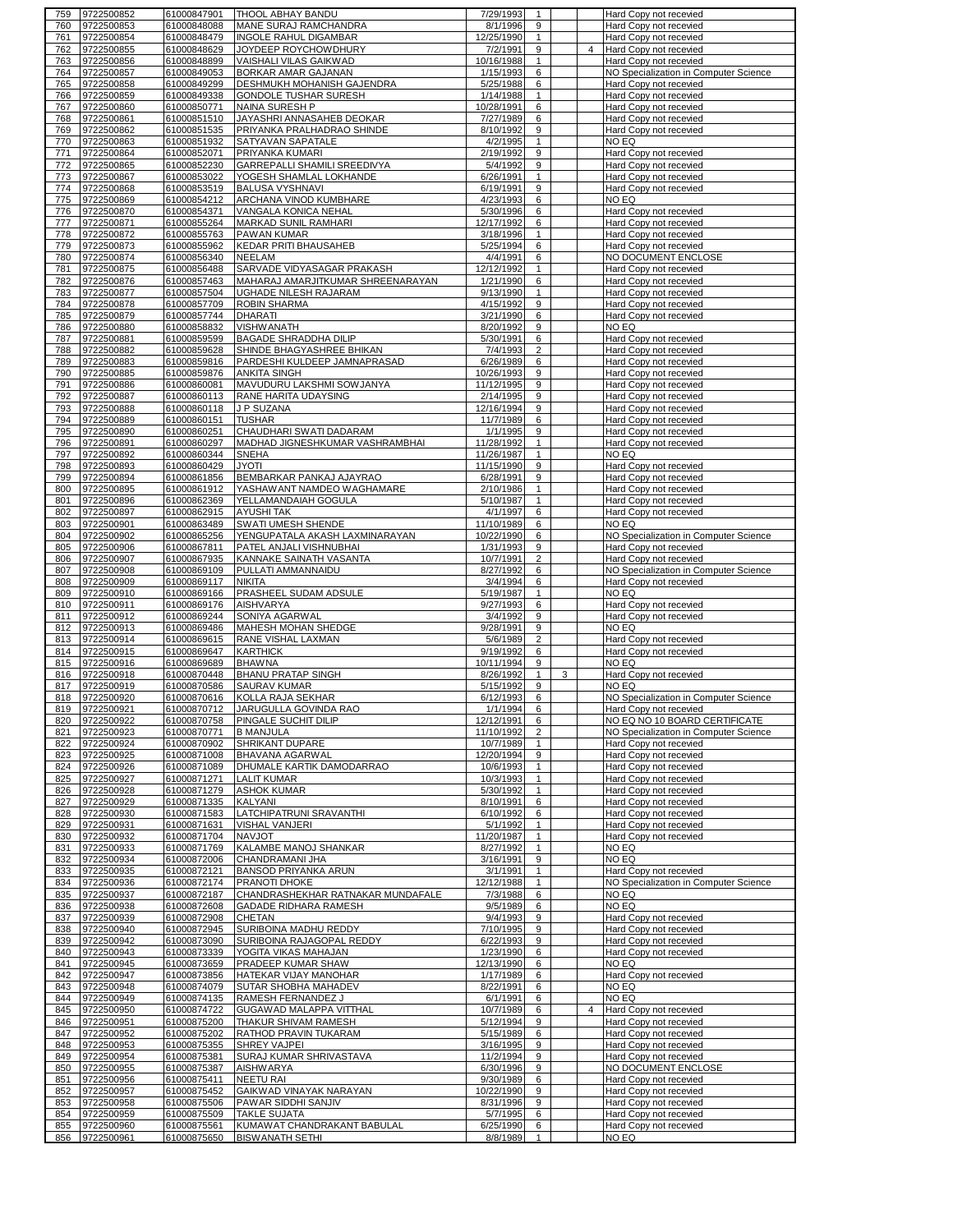| 759        | 9722500852               | 61000847901                | THOOL ABHAY BANDU                                     | 7/29/1993             |                   |   |                | Hard Copy not recevied                                  |
|------------|--------------------------|----------------------------|-------------------------------------------------------|-----------------------|-------------------|---|----------------|---------------------------------------------------------|
| 760        | 9722500853               | 61000848088                | MANE SURAJ RAMCHANDRA                                 | 8/1/1996              | 9                 |   |                | Hard Copy not recevied                                  |
| 761        | 9722500854               | 61000848479                | INGOLE RAHUL DIGAMBAR                                 | 12/25/1990            | $\mathbf{1}$      |   |                | Hard Copy not recevied                                  |
| 762        | 9722500855               | 61000848629                | JOYDEEP ROYCHOWDHURY                                  | 7/2/1991              | 9                 |   | $\overline{4}$ | Hard Copy not recevied                                  |
| 763        | 9722500856               | 61000848899                | VAISHALI VILAS GAIKWAD                                | 10/16/1988            | $\mathbf{1}$      |   |                | Hard Copy not recevied                                  |
|            |                          |                            |                                                       |                       |                   |   |                |                                                         |
| 764        | 9722500857               | 61000849053                | BORKAR AMAR GAJANAN                                   | 1/15/1993             | 6                 |   |                | NO Specialization in Computer Science                   |
| 765        | 9722500858               | 61000849299                | DESHMUKH MOHANISH GAJENDRA                            | 5/25/1988             | 6                 |   |                | Hard Copy not recevied                                  |
| 766        | 9722500859               | 61000849338                | GONDOLE TUSHAR SURESH                                 | 1/14/1988             | $\mathbf{1}$      |   |                | Hard Copy not recevied                                  |
| 767        | 9722500860               | 61000850771                | NAINA SURESH P                                        | 10/28/1991            | 6                 |   |                | Hard Copy not recevied                                  |
| 768        | 9722500861               | 61000851510                | JAYASHRI ANNASAHEB DEOKAR                             | 7/27/1989             | 6                 |   |                | Hard Copy not recevied                                  |
| 769        | 9722500862               | 61000851535                | PRIYANKA PRALHADRAO SHINDE                            | 8/10/1992             | 9                 |   |                | Hard Copy not recevied                                  |
|            |                          |                            |                                                       |                       | $\mathbf{1}$      |   |                |                                                         |
| 770        | 9722500863               | 61000851932                | SATYAVAN SAPATALE                                     | 4/2/1995              |                   |   |                | NO EQ                                                   |
| 771        | 9722500864               | 61000852071                | PRIYANKA KUMARI                                       | 2/19/1992             | 9                 |   |                | <b>Hard Copy not recevied</b>                           |
| 772        | 9722500865               | 61000852230                | GARREPALLI SHAMILI SREEDIVYA                          | 5/4/1992              | 9                 |   |                | Hard Copy not recevied                                  |
| 773        | 9722500867               | 61000853022                | YOGESH SHAMLAL LOKHANDE                               | 6/26/1991             | $\mathbf{1}$      |   |                | Hard Copy not recevied                                  |
| 774        | 9722500868               | 61000853519                | BALUSA VYSHNAVI                                       | 6/19/1991             | 9                 |   |                | Hard Copy not recevied                                  |
| 775        | 9722500869               | 61000854212                | ARCHANA VINOD KUMBHARE                                | 4/23/1993             | 6                 |   |                | NO EQ                                                   |
| 776        | 9722500870               | 61000854371                | VANGALA KONICA NEHAL                                  | 5/30/1996             | 6                 |   |                | Hard Copy not recevied                                  |
|            |                          |                            |                                                       |                       |                   |   |                |                                                         |
| 777        | 9722500871               | 61000855264                | MARKAD SUNIL RAMHARI                                  | 12/17/1992            | 6                 |   |                | Hard Copy not recevied                                  |
| 778        | 9722500872               | 61000855763                | PAWAN KUMAR                                           | 3/18/1996             | $\mathbf{1}$      |   |                | Hard Copy not recevied                                  |
| 779        | 9722500873               | 61000855962                | KEDAR PRITI BHAUSAHEB                                 | 5/25/1994             | 6                 |   |                | Hard Copy not recevied                                  |
| 780        | 9722500874               | 61000856340                | NEELAM                                                | 4/4/1991              | 6                 |   |                | NO DOCUMENT ENCLOSE                                     |
| 781        | 9722500875               | 61000856488                | SARVADE VIDYASAGAR PRAKASH                            | 12/12/1992            | $\mathbf{1}$      |   |                | Hard Copy not recevied                                  |
| 782        | 9722500876               | 61000857463                | MAHARAJ AMARJITKUMAR SHREENARAYAN                     | 1/21/1990             | 6                 |   |                | Hard Copy not recevied                                  |
| 783        | 9722500877               | 61000857504                | UGHADE NILESH RAJARAM                                 | 9/13/1990             | 1                 |   |                |                                                         |
|            |                          |                            |                                                       |                       |                   |   |                | Hard Copy not recevied                                  |
| 784        | 9722500878               | 61000857709                | ROBIN SHARMA                                          | 4/15/1992             | 9                 |   |                | Hard Copy not recevied                                  |
| 785        | 9722500879               | 61000857744                | <b>DHARATI</b>                                        | 3/21/1990             | 6                 |   |                | Hard Copy not recevied                                  |
| 786        | 9722500880               | 61000858832                | <b>VISHWANATH</b>                                     | 8/20/1992             | 9                 |   |                | NO EQ                                                   |
| 787        | 9722500881               | 61000859599                | BAGADE SHRADDHA DILIP                                 | 5/30/1991             | 6                 |   |                | Hard Copy not recevied                                  |
| 788        | 9722500882               | 61000859628                | SHINDE BHAGYASHREE BHIKAN                             | 7/4/1993              | $\overline{2}$    |   |                | Hard Copy not recevied                                  |
| 789        | 9722500883               | 61000859816                | PARDESHI KULDEEP JAMNAPRASAD                          | 6/26/1989             | 6                 |   |                | Hard Copy not recevied                                  |
|            |                          |                            |                                                       |                       |                   |   |                |                                                         |
| 790        | 9722500885               | 61000859876                | <b>ANKITA SINGH</b>                                   | 10/26/1993            | 9                 |   |                | Hard Copy not recevied                                  |
| 791        | 9722500886               | 61000860081                | MAVUDURU LAKSHMI SOWJANYA                             | 11/12/1995            | 9                 |   |                | Hard Copy not recevied                                  |
| 792        | 9722500887               | 61000860113                | RANE HARITA UDAYSING                                  | 2/14/1995             | 9                 |   |                | Hard Copy not recevied                                  |
| 793        | 9722500888               | 61000860118                | J P SUZANA                                            | 12/16/1994            | 9                 |   |                | Hard Copy not recevied                                  |
| 794        | 9722500889               | 61000860151                | <b>TUSHAR</b>                                         | 11/7/1989             | 6                 |   |                | Hard Copy not recevied                                  |
| 795        | 9722500890               | 61000860251                | CHAUDHARI SWATI DADARAM                               | 1/1/1995              | 9                 |   |                | Hard Copy not recevied                                  |
|            |                          |                            |                                                       |                       |                   |   |                |                                                         |
| 796        | 9722500891               | 61000860297                | MADHAD JIGNESHKUMAR VASHRAMBHAI                       | 11/28/1992            | $\mathbf{1}$      |   |                | Hard Copy not recevied                                  |
| 797        | 9722500892               | 61000860344                | SNEHA                                                 | 11/26/1987            | $\mathbf{1}$      |   |                | NO EQ                                                   |
| 798        | 9722500893               | 61000860429                | <b>ITOYL</b>                                          | 11/15/1990            | 9                 |   |                | Hard Copy not recevied                                  |
| 799        | 9722500894               | 61000861856                | BEMBARKAR PANKAJ AJAYRAO                              | 6/28/1991             | 9                 |   |                | Hard Copy not recevied                                  |
| 800        | 9722500895               | 61000861912                | YASHAWANT NAMDEO WAGHAMARE                            | 2/10/1986             | $\mathbf{1}$      |   |                | Hard Copy not recevied                                  |
| 801        | 9722500896               | 61000862369                | YELLAMANDAIAH GOGULA                                  | 5/10/1987             | $\mathbf{1}$      |   |                | Hard Copy not recevied                                  |
|            |                          |                            |                                                       |                       |                   |   |                |                                                         |
| 802        | 9722500897               | 61000862915                | AYUSHI TAK                                            | 4/1/1997              | 6                 |   |                | Hard Copy not recevied                                  |
| 803        | 9722500901               | 61000863489                | SWATI UMESH SHENDE                                    | 11/10/1989            | 6                 |   |                | NO EQ                                                   |
| 804        | 9722500902               | 61000865256                | YENGUPATALA AKASH LAXMINARAYAN                        | 10/22/1990            | 6                 |   |                | NO Specialization in Computer Science                   |
| 805        | 9722500906               | 61000867811                | PATEL ANJALI VISHNUBHAI                               | 1/31/1993             | 9                 |   |                | Hard Copy not recevied                                  |
| 806        | 9722500907               | 61000867935                | KANNAKE SAINATH VASANTA                               | 10/7/1991             | 2                 |   |                | Hard Copy not recevied                                  |
| 807        | 9722500908               | 61000869109                | PULLATI AMMANNAIDU                                    | 8/27/1992             | 6                 |   |                | NO Specialization in Computer Science                   |
|            |                          |                            |                                                       |                       |                   |   |                | Hard Copy not recevied                                  |
|            |                          |                            |                                                       |                       |                   |   |                |                                                         |
| 808        | 9722500909               | 61000869117                | NIKITA                                                | 3/4/1994              | 6                 |   |                |                                                         |
| 809        | 9722500910               | 61000869166                | PRASHEEL SUDAM ADSULE                                 | 5/19/1987             | $\mathbf{1}$      |   |                | NO EQ                                                   |
| 810        | 9722500911               | 61000869176                | <b>AISHVARYA</b>                                      | 9/27/1993             | 6                 |   |                | Hard Copy not recevied                                  |
| 811        | 9722500912               | 61000869244                | SONIYA AGARWAL                                        | 3/4/1992              | 9                 |   |                | Hard Copy not recevied                                  |
| 812        | 9722500913               | 61000869486                | <b>MAHESH MOHAN SHEDGE</b>                            | 9/28/1991             | 9                 |   |                | NO EQ                                                   |
|            |                          |                            |                                                       |                       |                   |   |                |                                                         |
| 813        | 9722500914               | 61000869615                | RANE VISHAL LAXMAN                                    | 5/6/1989              | $\overline{2}$    |   |                | Hard Copy not recevied                                  |
| 814        | 9722500915               | 61000869647                | <b>KARTHICK</b>                                       | 9/19/1992             | 6                 |   |                | Hard Copy not recevied                                  |
| 815        | 9722500916               | 61000869689                | <b>BHAWNA</b>                                         | 10/11/1994            | 9                 |   |                | NO EQ                                                   |
| 816        | 9722500918               | 61000870448                | <b>BHANU PRATAP SINGH</b>                             | 8/26/1992             | $\mathbf{1}$      | 3 |                | Hard Copy not recevied                                  |
| 817        | 9722500919               | 61000870586                | SAURAV KUMAR                                          | 5/15/1992             | 9                 |   |                | NO EQ                                                   |
|            | 818 9722500920           | 61000870616                | KOLLA RAJA SEKHAR                                     | 6/12/1993             | 6                 |   |                | NO Specialization in Computer Science                   |
| 819        | 9722500921               |                            | JARUGULLA GOVINDA RAO                                 | 1/1/1994              | $6^{\circ}$       |   |                |                                                         |
| 820        | 9722500922               | 61000870712<br>61000870758 | PINGALE SUCHIT DILIP                                  | 12/12/1991            | 6                 |   |                | Hard Copy not recevied<br>NO EQ NO 10 BOARD CERTIFICATE |
|            |                          |                            |                                                       |                       |                   |   |                |                                                         |
| 821        | 9722500923               | 61000870771                | <b>B MANJULA</b>                                      | 11/10/1992            | $\overline{2}$    |   |                | NO Specialization in Computer Science                   |
| 822        | 9722500924               | 61000870902                | SHRIKANT DUPARE                                       | 10/7/1989             | $\mathbf{1}$      |   |                | Hard Copy not recevied                                  |
| 823        | 9722500925               | 61000871008                | BHAVANA AGARWAL                                       | 12/20/1994            | 9                 |   |                | Hard Copy not recevied                                  |
| 824        | 9722500926               | 61000871089                | DHUMALE KARTIK DAMODARRAO                             | 10/6/1993             | $\mathbf{1}$      |   |                | Hard Copy not recevied                                  |
| 825        | 9722500927               | 61000871271                | LALIT KUMAR                                           | 10/3/1993             | $\mathbf{1}$      |   |                | Hard Copy not recevied                                  |
| 826        | 9722500928               | 61000871279                | <b>ASHOK KUMAR</b>                                    | 5/30/1992             | $\mathbf{1}$      |   |                | Hard Copy not recevied                                  |
| 827        |                          |                            | KALYANI                                               |                       | 6                 |   |                |                                                         |
|            | 9722500929               | 61000871335                |                                                       | 8/10/1991             |                   |   |                | Hard Copy not recevied                                  |
| 828        | 9722500930               | 61000871583                | LATCHIPATRUNI SRAVANTHI                               | 6/10/1992             | 6                 |   |                | <b>Hard Copy not recevied</b>                           |
| 829        | 9722500931               | 61000871631                | VISHAL VANJERI                                        | 5/1/1992              | $\mathbf{1}$      |   |                | Hard Copy not recevied                                  |
| 830        | 9722500932               | 61000871704                | <b>NAVJOT</b>                                         | 11/20/1987            | $\mathbf{1}$      |   |                | Hard Copy not recevied                                  |
| 831        | 9722500933               | 61000871769                | KALAMBE MANOJ SHANKAR                                 | 8/27/1992             | $\mathbf{1}$      |   |                | NO EQ                                                   |
| 832        | 9722500934               | 61000872006                | CHANDRAMANI JHA                                       | 3/16/1991             | 9                 |   |                | NO EQ                                                   |
|            |                          |                            | <b>BANSOD PRIYANKA ARUN</b>                           | 3/1/1991              | 1                 |   |                |                                                         |
| 833        | 9722500935               | 61000872121                |                                                       |                       |                   |   |                | Hard Copy not recevied                                  |
| 834        | 9722500936               | 61000872174                | PRANOTI DHOKE                                         | 12/12/1988            | $\mathbf{1}$      |   |                | NO Specialization in Computer Science                   |
| 835        | 9722500937               | 61000872187                | CHANDRASHEKHAR RATNAKAR MUNDAFALE                     | 7/3/1988              | 6                 |   |                | NO EQ                                                   |
| 836        | 9722500938               | 61000872608                | GADADE RIDHARA RAMESH                                 | 9/5/1989              | 6                 |   |                | NO EQ                                                   |
| 837        | 9722500939               | 61000872908                | CHETAN                                                | 9/4/1993              | 9                 |   |                | Hard Copy not recevied                                  |
| 838        | 9722500940               | 61000872945                | SURIBOINA MADHU REDDY                                 | 7/10/1995             | 9                 |   |                | Hard Copy not recevied                                  |
| 839        | 9722500942               | 61000873090                | SURIBOINA RAJAGOPAL REDDY                             | 6/22/1993             | 9                 |   |                | Hard Copy not recevied                                  |
|            |                          |                            |                                                       |                       |                   |   |                |                                                         |
| 840        | 9722500943               | 61000873339                | YOGITA VIKAS MAHAJAN                                  | 1/23/1990             | 6                 |   |                | Hard Copy not recevied                                  |
| 841        | 9722500945               | 61000873659                | PRADEEP KUMAR SHAW                                    | 12/13/1990            | 6                 |   |                | NO EQ                                                   |
| 842        | 9722500947               | 61000873856                | HATEKAR VIJAY MANOHAR                                 | 1/17/1989             | 6                 |   |                | Hard Copy not recevied                                  |
| 843        | 9722500948               | 61000874079                | SUTAR SHOBHA MAHADEV                                  | 8/22/1991             | 6                 |   |                | NO EQ                                                   |
| 844        | 9722500949               | 61000874135                | RAMESH FERNANDEZ J                                    | 6/1/1991              | 6                 |   |                | NO EQ                                                   |
| 845        | 9722500950               | 61000874722                | GUGAWAD MALAPPA VITTHAL                               | 10/7/1989             | 6                 |   | $\overline{4}$ | Hard Copy not recevied                                  |
|            |                          |                            |                                                       |                       | 9                 |   |                |                                                         |
| 846        | 9722500951               | 61000875200                | THAKUR SHIVAM RAMESH                                  | 5/12/1994             |                   |   |                | Hard Copy not recevied                                  |
| 847        | 9722500952               | 61000875202                | RATHOD PRAVIN TUKARAM                                 | 5/15/1989             | 6                 |   |                | Hard Copy not recevied                                  |
| 848        | 9722500953               | 61000875355                | SHREY VAJPEI                                          | 3/16/1995             | 9                 |   |                | Hard Copy not recevied                                  |
| 849        | 9722500954               | 61000875381                | SURAJ KUMAR SHRIVASTAVA                               | 11/2/1994             | 9                 |   |                | Hard Copy not recevied                                  |
| 850        | 9722500955               | 61000875387                | <b>AISHWARYA</b>                                      | 6/30/1996             | 9                 |   |                | NO DOCUMENT ENCLOSE                                     |
| 851        | 9722500956               | 61000875411                | <b>NEETU RAI</b>                                      | 9/30/1989             | 6                 |   |                | Hard Copy not recevied                                  |
| 852        | 9722500957               |                            |                                                       |                       | 9                 |   |                |                                                         |
|            |                          | 61000875452                | GAIKWAD VINAYAK NARAYAN                               | 10/22/1990            |                   |   |                | Hard Copy not recevied                                  |
| 853        | 9722500958               | 61000875506                | PAWAR SIDDHI SANJIV                                   | 8/31/1996             | 9                 |   |                | Hard Copy not recevied                                  |
| 854        | 9722500959               | 61000875509                | <b>TAKLE SUJATA</b>                                   | 5/7/1995              | 6                 |   |                | Hard Copy not recevied                                  |
| 855<br>856 | 9722500960<br>9722500961 | 61000875561<br>61000875650 | KUMAWAT CHANDRAKANT BABULAL<br><b>BISWANATH SETHI</b> | 6/25/1990<br>8/8/1989 | 6<br>$\mathbf{1}$ |   |                | Hard Copy not recevied<br>NO EQ                         |